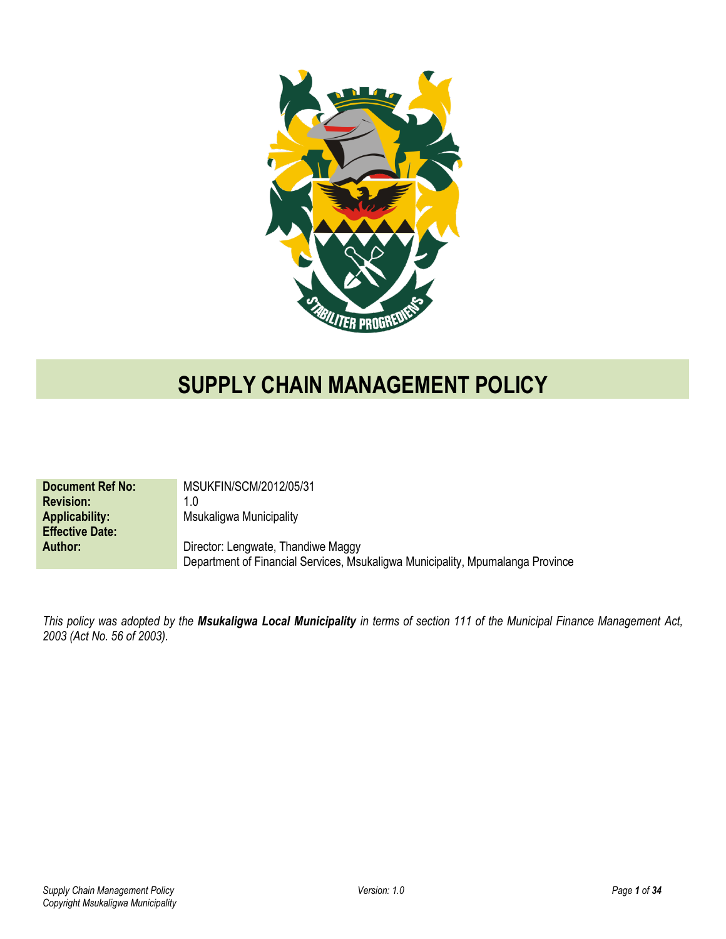

# **SUPPLY CHAIN MANAGEMENT POLICY**

| <b>Document Ref No:</b> | MSUKFIN/SCM/2012/05/31                                                         |
|-------------------------|--------------------------------------------------------------------------------|
| <b>Revision:</b>        | 1.0                                                                            |
| <b>Applicability:</b>   | Msukaligwa Municipality                                                        |
| <b>Effective Date:</b>  |                                                                                |
| Author:                 | Director: Lengwate, Thandiwe Maggy                                             |
|                         | Department of Financial Services, Msukaligwa Municipality, Mpumalanga Province |

*This policy was adopted by the Msukaligwa Local Municipality in terms of section 111 of the Municipal Finance Management Act, 2003 (Act No. 56 of 2003).*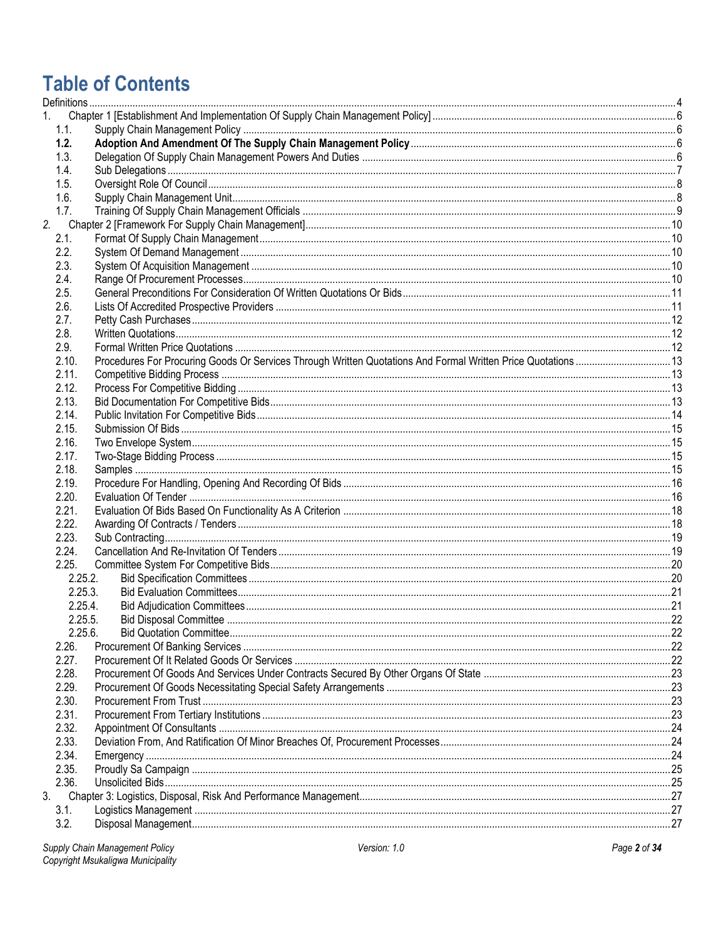# **Table of Contents**

| 1.1.  |            |  |
|-------|------------|--|
| 1.2.  |            |  |
| 1.3.  |            |  |
| 1.4.  |            |  |
| 1.5.  |            |  |
| 1.6.  |            |  |
| 1.7.  |            |  |
| 2.    |            |  |
| 2.1.  |            |  |
| 2.2.  |            |  |
| 2.3.  |            |  |
| 2.4.  |            |  |
| 2.5.  |            |  |
| 2.6.  |            |  |
| 2.7.  |            |  |
| 2.8.  |            |  |
| 2.9.  |            |  |
| 2.10. |            |  |
| 2.11. |            |  |
| 2.12. |            |  |
| 2.13. |            |  |
| 2.14. |            |  |
| 2.15. |            |  |
| 2.16. |            |  |
| 2.17. |            |  |
| 2.18. |            |  |
| 2.19. |            |  |
| 2.20. |            |  |
| 2.21. |            |  |
| 2.22. |            |  |
| 2.23. |            |  |
| 2.24. |            |  |
| 2.25. |            |  |
|       | 2.25.2.    |  |
|       | 2.25.3.    |  |
|       | 2.25.4.    |  |
|       | 2.25.5.    |  |
|       | $2.25.6$ . |  |
| 2.26. |            |  |
| 2.27. |            |  |
| 2.28. |            |  |
| 2.29. |            |  |
| 2.30. |            |  |
| 2.31. |            |  |
| 2.32. |            |  |
| 2.33. |            |  |
| 2.34. |            |  |
| 2.35. |            |  |
| 2.36. |            |  |
| 3.    |            |  |
| 3.1.  |            |  |
| 3.2.  |            |  |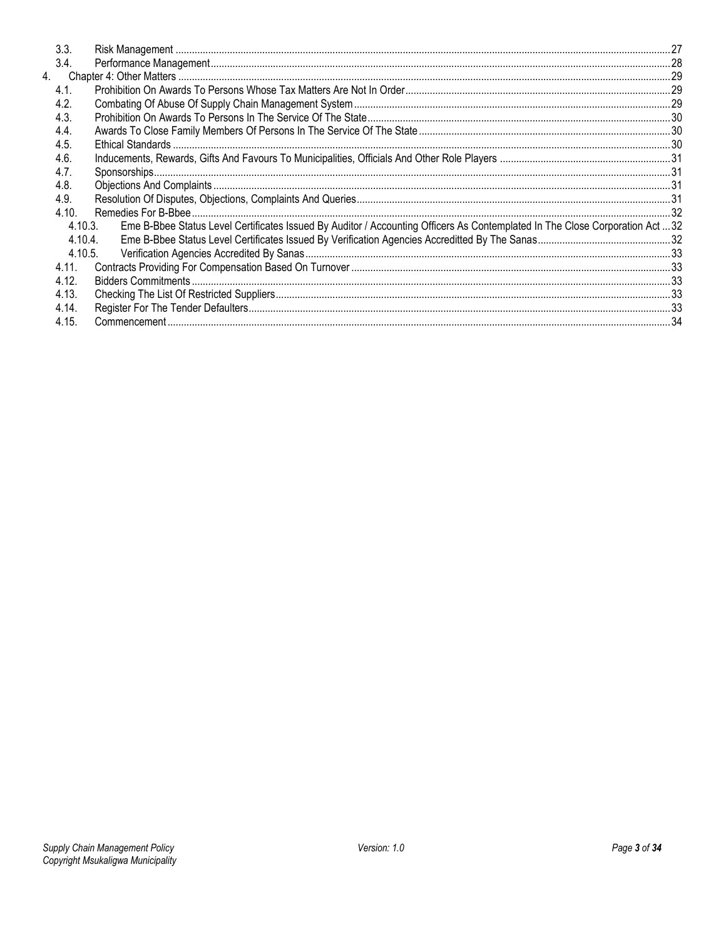|                  | 3.3.    |                                                                                                                               |  |
|------------------|---------|-------------------------------------------------------------------------------------------------------------------------------|--|
|                  | 3.4.    |                                                                                                                               |  |
| $\overline{4}$ . |         |                                                                                                                               |  |
|                  | 4.1.    |                                                                                                                               |  |
|                  | 4.2.    |                                                                                                                               |  |
|                  | 4.3.    |                                                                                                                               |  |
|                  | 4.4.    |                                                                                                                               |  |
|                  | 4.5.    |                                                                                                                               |  |
|                  | 4.6.    |                                                                                                                               |  |
|                  | 4.7.    |                                                                                                                               |  |
|                  | 4.8.    |                                                                                                                               |  |
|                  | 4.9.    |                                                                                                                               |  |
|                  | 4.10.   |                                                                                                                               |  |
|                  | 4.10.3. | Eme B-Bbee Status Level Certificates Issued By Auditor / Accounting Officers As Contemplated In The Close Corporation Act  32 |  |
|                  | 4.10.4  |                                                                                                                               |  |
|                  | 4.10.5. |                                                                                                                               |  |
|                  | 4.11.   |                                                                                                                               |  |
|                  | 4.12.   |                                                                                                                               |  |
|                  | 4.13.   |                                                                                                                               |  |
|                  | 4.14.   |                                                                                                                               |  |
|                  | 4.15.   |                                                                                                                               |  |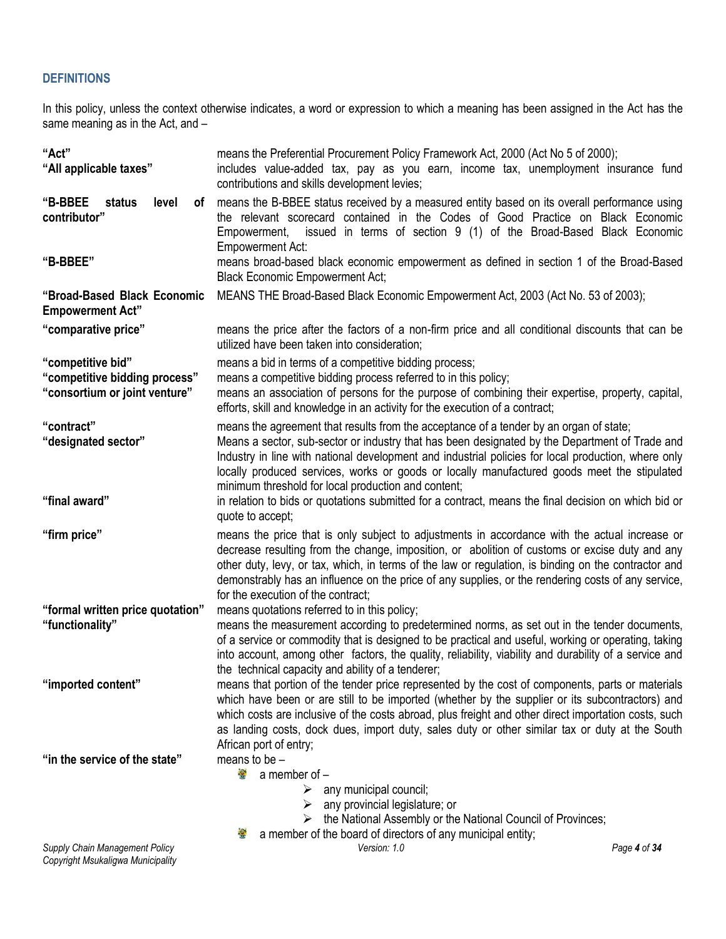# <span id="page-3-0"></span>**DEFINITIONS**

In this policy, unless the context otherwise indicates, a word or expression to which a meaning has been assigned in the Act has the same meaning as in the Act, and –

| "Act"<br>"All applicable taxes"                                                     | means the Preferential Procurement Policy Framework Act, 2000 (Act No 5 of 2000);<br>includes value-added tax, pay as you earn, income tax, unemployment insurance fund<br>contributions and skills development levies;                                                                                                                                                                                                                               |              |
|-------------------------------------------------------------------------------------|-------------------------------------------------------------------------------------------------------------------------------------------------------------------------------------------------------------------------------------------------------------------------------------------------------------------------------------------------------------------------------------------------------------------------------------------------------|--------------|
| "B-BBEE<br>status<br>level<br>0f<br>contributor"                                    | means the B-BBEE status received by a measured entity based on its overall performance using<br>the relevant scorecard contained in the Codes of Good Practice on Black Economic<br>issued in terms of section 9 (1) of the Broad-Based Black Economic<br>Empowerment,<br><b>Empowerment Act:</b>                                                                                                                                                     |              |
| "B-BBEE"                                                                            | means broad-based black economic empowerment as defined in section 1 of the Broad-Based<br><b>Black Economic Empowerment Act;</b>                                                                                                                                                                                                                                                                                                                     |              |
| "Broad-Based Black Economic<br><b>Empowerment Act"</b>                              | MEANS THE Broad-Based Black Economic Empowerment Act, 2003 (Act No. 53 of 2003);                                                                                                                                                                                                                                                                                                                                                                      |              |
| "comparative price"                                                                 | means the price after the factors of a non-firm price and all conditional discounts that can be<br>utilized have been taken into consideration;                                                                                                                                                                                                                                                                                                       |              |
| "competitive bid"<br>"competitive bidding process"<br>"consortium or joint venture" | means a bid in terms of a competitive bidding process;<br>means a competitive bidding process referred to in this policy;<br>means an association of persons for the purpose of combining their expertise, property, capital,<br>efforts, skill and knowledge in an activity for the execution of a contract;                                                                                                                                         |              |
| "contract"<br>"designated sector"                                                   | means the agreement that results from the acceptance of a tender by an organ of state;<br>Means a sector, sub-sector or industry that has been designated by the Department of Trade and<br>Industry in line with national development and industrial policies for local production, where only<br>locally produced services, works or goods or locally manufactured goods meet the stipulated<br>minimum threshold for local production and content; |              |
| "final award"                                                                       | in relation to bids or quotations submitted for a contract, means the final decision on which bid or<br>quote to accept;                                                                                                                                                                                                                                                                                                                              |              |
| "firm price"                                                                        | means the price that is only subject to adjustments in accordance with the actual increase or<br>decrease resulting from the change, imposition, or abolition of customs or excise duty and any<br>other duty, levy, or tax, which, in terms of the law or regulation, is binding on the contractor and<br>demonstrably has an influence on the price of any supplies, or the rendering costs of any service,<br>for the execution of the contract;   |              |
| "formal written price quotation"                                                    | means quotations referred to in this policy;                                                                                                                                                                                                                                                                                                                                                                                                          |              |
| "functionality"                                                                     | means the measurement according to predetermined norms, as set out in the tender documents,<br>of a service or commodity that is designed to be practical and useful, working or operating, taking<br>into account, among other factors, the quality, reliability, viability and durability of a service and<br>the technical capacity and ability of a tenderer;                                                                                     |              |
| "imported content"                                                                  | means that portion of the tender price represented by the cost of components, parts or materials<br>which have been or are still to be imported (whether by the supplier or its subcontractors) and<br>which costs are inclusive of the costs abroad, plus freight and other direct importation costs, such<br>as landing costs, dock dues, import duty, sales duty or other similar tax or duty at the South<br>African port of entry;               |              |
| "in the service of the state"                                                       | means to be $-$<br>濠<br>a member of -<br>any municipal council;<br>➤<br>any provincial legislature; or<br>➤<br>the National Assembly or the National Council of Provinces;<br>a member of the board of directors of any municipal entity;<br>$\bullet$                                                                                                                                                                                                |              |
| Supply Chain Management Policy                                                      | Version: 1.0                                                                                                                                                                                                                                                                                                                                                                                                                                          | Page 4 of 34 |

*Copyright Msukaligwa Municipality*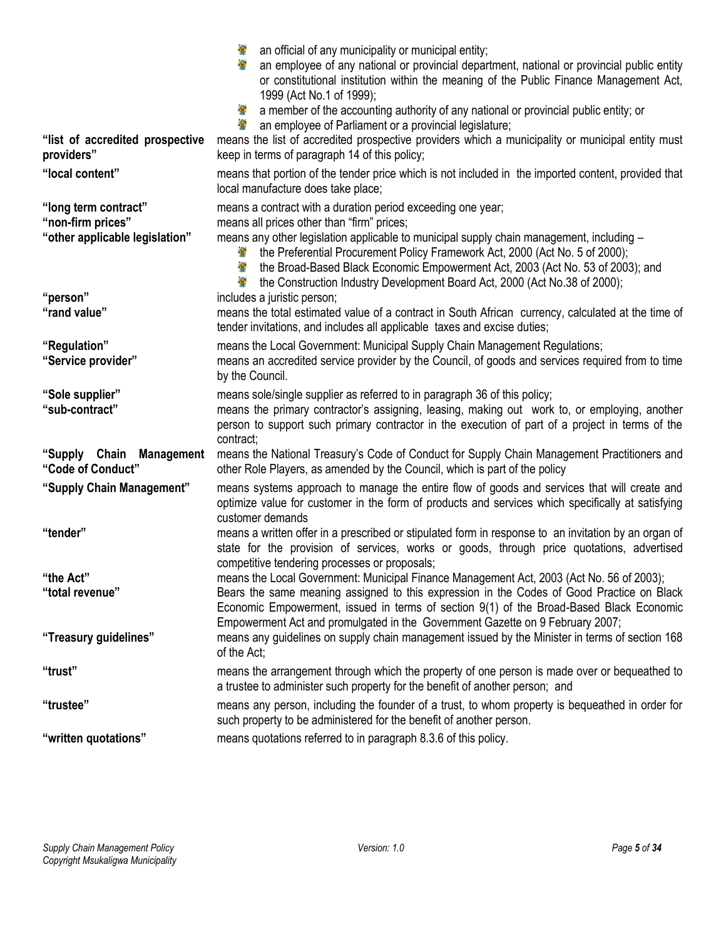| "list of accredited prospective<br>providers"                               | or constitutional institution within the meaning of the Public Finance Management Act,<br>1999 (Act No.1 of 1999);<br>a member of the accounting authority of any national or provincial public entity; or<br>an employee of Parliament or a provincial legislature;<br>means the list of accredited prospective providers which a municipality or municipal entity must<br>keep in terms of paragraph 14 of this policy;                                  |
|-----------------------------------------------------------------------------|------------------------------------------------------------------------------------------------------------------------------------------------------------------------------------------------------------------------------------------------------------------------------------------------------------------------------------------------------------------------------------------------------------------------------------------------------------|
| "local content"                                                             | means that portion of the tender price which is not included in the imported content, provided that<br>local manufacture does take place;                                                                                                                                                                                                                                                                                                                  |
| "long term contract"<br>"non-firm prices"<br>"other applicable legislation" | means a contract with a duration period exceeding one year;<br>means all prices other than "firm" prices;<br>means any other legislation applicable to municipal supply chain management, including -<br>the Preferential Procurement Policy Framework Act, 2000 (Act No. 5 of 2000);<br>the Broad-Based Black Economic Empowerment Act, 2003 (Act No. 53 of 2003); and<br>矕<br>the Construction Industry Development Board Act, 2000 (Act No.38 of 2000); |
| "person"<br>"rand value"                                                    | includes a juristic person;<br>means the total estimated value of a contract in South African currency, calculated at the time of<br>tender invitations, and includes all applicable taxes and excise duties;                                                                                                                                                                                                                                              |
| "Regulation"<br>"Service provider"                                          | means the Local Government: Municipal Supply Chain Management Regulations;<br>means an accredited service provider by the Council, of goods and services required from to time<br>by the Council.                                                                                                                                                                                                                                                          |
| "Sole supplier"<br>"sub-contract"                                           | means sole/single supplier as referred to in paragraph 36 of this policy;<br>means the primary contractor's assigning, leasing, making out work to, or employing, another<br>person to support such primary contractor in the execution of part of a project in terms of the<br>contract;                                                                                                                                                                  |
| "Supply Chain Management<br>"Code of Conduct"                               | means the National Treasury's Code of Conduct for Supply Chain Management Practitioners and<br>other Role Players, as amended by the Council, which is part of the policy                                                                                                                                                                                                                                                                                  |
| "Supply Chain Management"                                                   | means systems approach to manage the entire flow of goods and services that will create and<br>optimize value for customer in the form of products and services which specifically at satisfying<br>customer demands                                                                                                                                                                                                                                       |
| "tender"                                                                    | means a written offer in a prescribed or stipulated form in response to an invitation by an organ of<br>state for the provision of services, works or goods, through price quotations, advertised<br>competitive tendering processes or proposals;                                                                                                                                                                                                         |
| "the Act"<br>"total revenue"                                                | means the Local Government: Municipal Finance Management Act, 2003 (Act No. 56 of 2003);<br>Bears the same meaning assigned to this expression in the Codes of Good Practice on Black<br>Economic Empowerment, issued in terms of section 9(1) of the Broad-Based Black Economic<br>Empowerment Act and promulgated in the Government Gazette on 9 February 2007;                                                                                          |
| "Treasury guidelines"                                                       | means any guidelines on supply chain management issued by the Minister in terms of section 168<br>of the Act:                                                                                                                                                                                                                                                                                                                                              |
| "trust"                                                                     | means the arrangement through which the property of one person is made over or bequeathed to<br>a trustee to administer such property for the benefit of another person; and                                                                                                                                                                                                                                                                               |
| "trustee"                                                                   | means any person, including the founder of a trust, to whom property is bequeathed in order for<br>such property to be administered for the benefit of another person.                                                                                                                                                                                                                                                                                     |
| "written quotations"                                                        | means quotations referred to in paragraph 8.3.6 of this policy.                                                                                                                                                                                                                                                                                                                                                                                            |

**a** an official of any municipality or municipal entity;

an employee of any national or provincial department, national or provincial public entity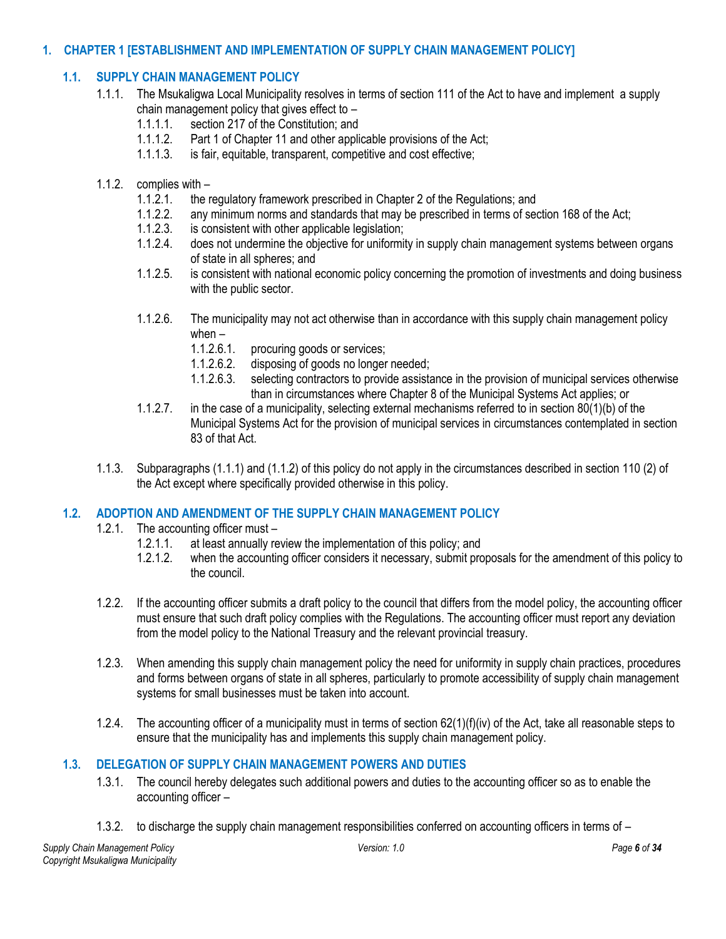## <span id="page-5-1"></span><span id="page-5-0"></span>**1. CHAPTER 1 [ESTABLISHMENT AND IMPLEMENTATION OF SUPPLY CHAIN MANAGEMENT POLICY]**

## **1.1. SUPPLY CHAIN MANAGEMENT POLICY**

- 1.1.1. The Msukaligwa Local Municipality resolves in terms of section 111 of the Act to have and implement a supply chain management policy that gives effect to –
	- 1.1.1.1. section 217 of the Constitution; and
	- 1.1.1.2. Part 1 of Chapter 11 and other applicable provisions of the Act;
	- 1.1.1.3. is fair, equitable, transparent, competitive and cost effective;

#### 1.1.2. complies with –

- 1.1.2.1. the regulatory framework prescribed in Chapter 2 of the Regulations; and
- 1.1.2.2. any minimum norms and standards that may be prescribed in terms of section 168 of the Act;
- 1.1.2.3. is consistent with other applicable legislation;<br>1.1.2.4 does not undermine the objective for uniformit
- does not undermine the objective for uniformity in supply chain management systems between organs of state in all spheres; and
- 1.1.2.5. is consistent with national economic policy concerning the promotion of investments and doing business with the public sector.
- 1.1.2.6. The municipality may not act otherwise than in accordance with this supply chain management policy when –
	- 1.1.2.6.1. procuring goods or services;<br>1.1.2.6.2. disposing of goods no longer
	- disposing of goods no longer needed;
	- 1.1.2.6.3. selecting contractors to provide assistance in the provision of municipal services otherwise than in circumstances where Chapter 8 of the Municipal Systems Act applies; or
- 1.1.2.7. in the case of a municipality, selecting external mechanisms referred to in section 80(1)(b) of the Municipal Systems Act for the provision of municipal services in circumstances contemplated in section 83 of that Act.
- 1.1.3. Subparagraphs (1.1.1) and (1.1.2) of this policy do not apply in the circumstances described in section 110 (2) of the Act except where specifically provided otherwise in this policy.

## <span id="page-5-2"></span>**1.2. ADOPTION AND AMENDMENT OF THE SUPPLY CHAIN MANAGEMENT POLICY**

- 1.2.1. The accounting officer must
	- 1.2.1.1. at least annually review the implementation of this policy; and
	- 1.2.1.2. when the accounting officer considers it necessary, submit proposals for the amendment of this policy to the council.
- 1.2.2. If the accounting officer submits a draft policy to the council that differs from the model policy, the accounting officer must ensure that such draft policy complies with the Regulations. The accounting officer must report any deviation from the model policy to the National Treasury and the relevant provincial treasury.
- 1.2.3. When amending this supply chain management policy the need for uniformity in supply chain practices, procedures and forms between organs of state in all spheres, particularly to promote accessibility of supply chain management systems for small businesses must be taken into account.
- 1.2.4. The accounting officer of a municipality must in terms of section 62(1)(f)(iv) of the Act, take all reasonable steps to ensure that the municipality has and implements this supply chain management policy.

## <span id="page-5-3"></span>**1.3. DELEGATION OF SUPPLY CHAIN MANAGEMENT POWERS AND DUTIES**

- 1.3.1. The council hereby delegates such additional powers and duties to the accounting officer so as to enable the accounting officer –
- 1.3.2. to discharge the supply chain management responsibilities conferred on accounting officers in terms of –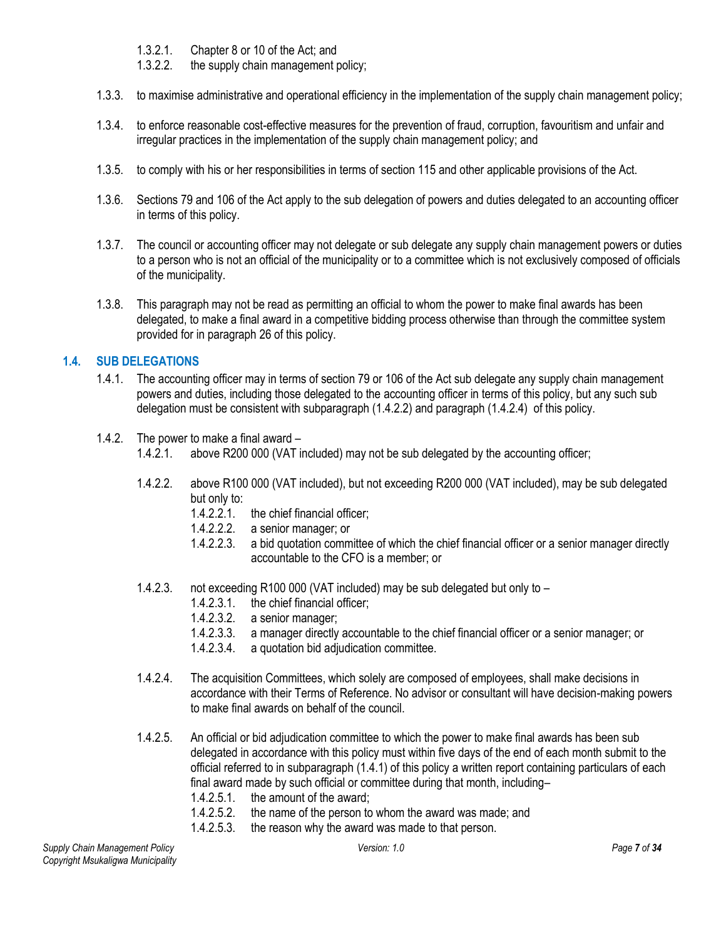- 1.3.2.1. Chapter 8 or 10 of the Act; and
- 1.3.2.2. the supply chain management policy;
- 1.3.3. to maximise administrative and operational efficiency in the implementation of the supply chain management policy;
- 1.3.4. to enforce reasonable cost-effective measures for the prevention of fraud, corruption, favouritism and unfair and irregular practices in the implementation of the supply chain management policy; and
- 1.3.5. to comply with his or her responsibilities in terms of section 115 and other applicable provisions of the Act.
- 1.3.6. Sections 79 and 106 of the Act apply to the sub delegation of powers and duties delegated to an accounting officer in terms of this policy.
- 1.3.7. The council or accounting officer may not delegate or sub delegate any supply chain management powers or duties to a person who is not an official of the municipality or to a committee which is not exclusively composed of officials of the municipality.
- 1.3.8. This paragraph may not be read as permitting an official to whom the power to make final awards has been delegated, to make a final award in a competitive bidding process otherwise than through the committee system provided for in paragraph 26 of this policy.

#### <span id="page-6-0"></span>**1.4. SUB DELEGATIONS**

- 1.4.1. The accounting officer may in terms of section 79 or 106 of the Act sub delegate any supply chain management powers and duties, including those delegated to the accounting officer in terms of this policy, but any such sub delegation must be consistent with subparagraph (1.4.2.2) and paragraph (1.4.2.4) of this policy.
- 1.4.2. The power to make a final award
	- 1.4.2.1. above R200 000 (VAT included) may not be sub delegated by the accounting officer;
	- 1.4.2.2. above R100 000 (VAT included), but not exceeding R200 000 (VAT included), may be sub delegated but only to:
		- 1.4.2.2.1. the chief financial officer;<br>1.4.2.2.2. a senior manager; or
		- a senior manager; or
		- 1.4.2.2.3. a bid quotation committee of which the chief financial officer or a senior manager directly accountable to the CFO is a member; or
	- 1.4.2.3. not exceeding R100 000 (VAT included) may be sub delegated but only to
		- 1.4.2.3.1. the chief financial officer;
		- 1.4.2.3.2. a senior manager;
		- 1.4.2.3.3. a manager directly accountable to the chief financial officer or a senior manager; or
		- 1.4.2.3.4. a quotation bid adjudication committee.
	- 1.4.2.4. The acquisition Committees, which solely are composed of employees, shall make decisions in accordance with their Terms of Reference. No advisor or consultant will have decision-making powers to make final awards on behalf of the council.
	- 1.4.2.5. An official or bid adjudication committee to which the power to make final awards has been sub delegated in accordance with this policy must within five days of the end of each month submit to the official referred to in subparagraph (1.4.1) of this policy a written report containing particulars of each final award made by such official or committee during that month, including– 1.4.2.5.1. the amount of the award;
		- 1.4.2.5.2. the name of the person to whom the award was made; and
		- 1.4.2.5.3. the reason why the award was made to that person.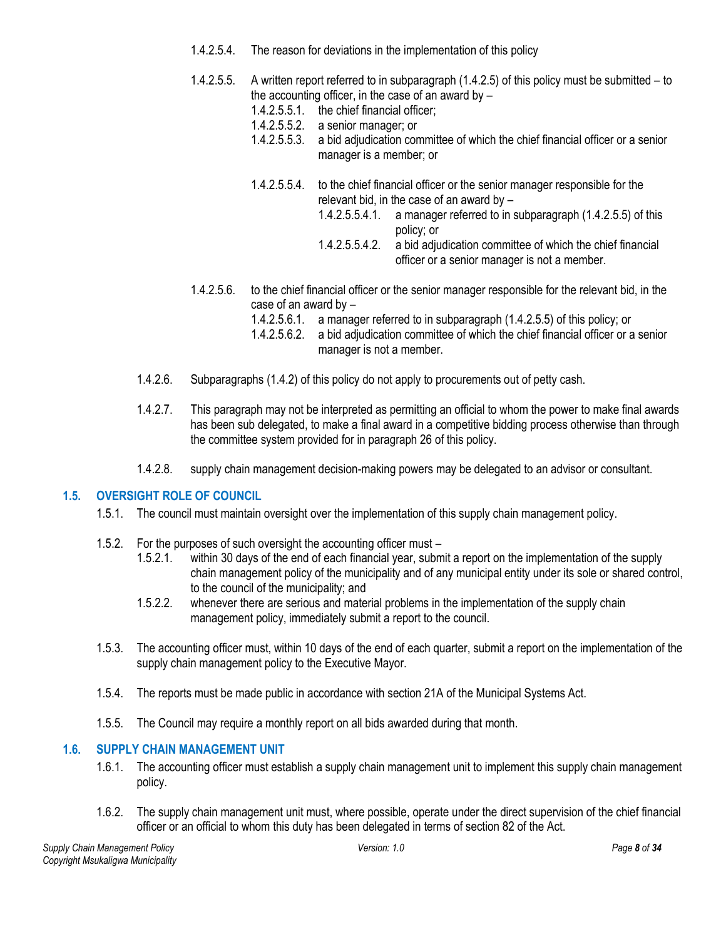- 1.4.2.5.4. The reason for deviations in the implementation of this policy
- 1.4.2.5.5. A written report referred to in subparagraph (1.4.2.5) of this policy must be submitted to the accounting officer, in the case of an award by  $-$ 
	- 1.4.2.5.5.1. the chief financial officer;
	- 1.4.2.5.5.2. a senior manager; or
	- 1.4.2.5.5.3. a bid adjudication committee of which the chief financial officer or a senior manager is a member; or
	- 1.4.2.5.5.4. to the chief financial officer or the senior manager responsible for the relevant bid, in the case of an award by –
		- 1.4.2.5.5.4.1. a manager referred to in subparagraph (1.4.2.5.5) of this policy; or
		- 1.4.2.5.5.4.2. a bid adjudication committee of which the chief financial officer or a senior manager is not a member.
- 1.4.2.5.6. to the chief financial officer or the senior manager responsible for the relevant bid, in the case of an award by –
	- 1.4.2.5.6.1. a manager referred to in subparagraph (1.4.2.5.5) of this policy; or
	- 1.4.2.5.6.2. a bid adjudication committee of which the chief financial officer or a senior manager is not a member.
- 1.4.2.6. Subparagraphs (1.4.2) of this policy do not apply to procurements out of petty cash.
- 1.4.2.7. This paragraph may not be interpreted as permitting an official to whom the power to make final awards has been sub delegated, to make a final award in a competitive bidding process otherwise than through the committee system provided for in paragraph 26 of this policy.
- 1.4.2.8. supply chain management decision-making powers may be delegated to an advisor or consultant.

#### <span id="page-7-0"></span>**1.5. OVERSIGHT ROLE OF COUNCIL**

- 1.5.1. The council must maintain oversight over the implementation of this supply chain management policy.
- 1.5.2. For the purposes of such oversight the accounting officer must
	- 1.5.2.1. within 30 days of the end of each financial year, submit a report on the implementation of the supply chain management policy of the municipality and of any municipal entity under its sole or shared control, to the council of the municipality; and
	- 1.5.2.2. whenever there are serious and material problems in the implementation of the supply chain management policy, immediately submit a report to the council.
- 1.5.3. The accounting officer must, within 10 days of the end of each quarter, submit a report on the implementation of the supply chain management policy to the Executive Mayor.
- 1.5.4. The reports must be made public in accordance with section 21A of the Municipal Systems Act.
- 1.5.5. The Council may require a monthly report on all bids awarded during that month.

## <span id="page-7-1"></span>**1.6. SUPPLY CHAIN MANAGEMENT UNIT**

- 1.6.1. The accounting officer must establish a supply chain management unit to implement this supply chain management policy.
- 1.6.2. The supply chain management unit must, where possible, operate under the direct supervision of the chief financial officer or an official to whom this duty has been delegated in terms of section 82 of the Act.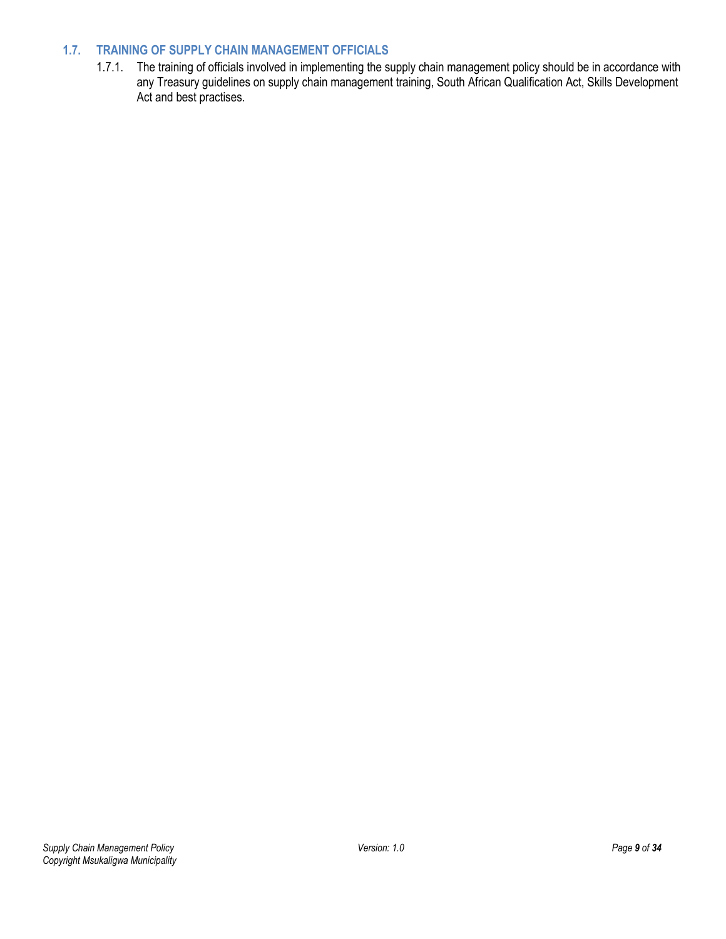# <span id="page-8-0"></span>**1.7. TRAINING OF SUPPLY CHAIN MANAGEMENT OFFICIALS**

1.7.1. The training of officials involved in implementing the supply chain management policy should be in accordance with any Treasury guidelines on supply chain management training, South African Qualification Act, Skills Development Act and best practises.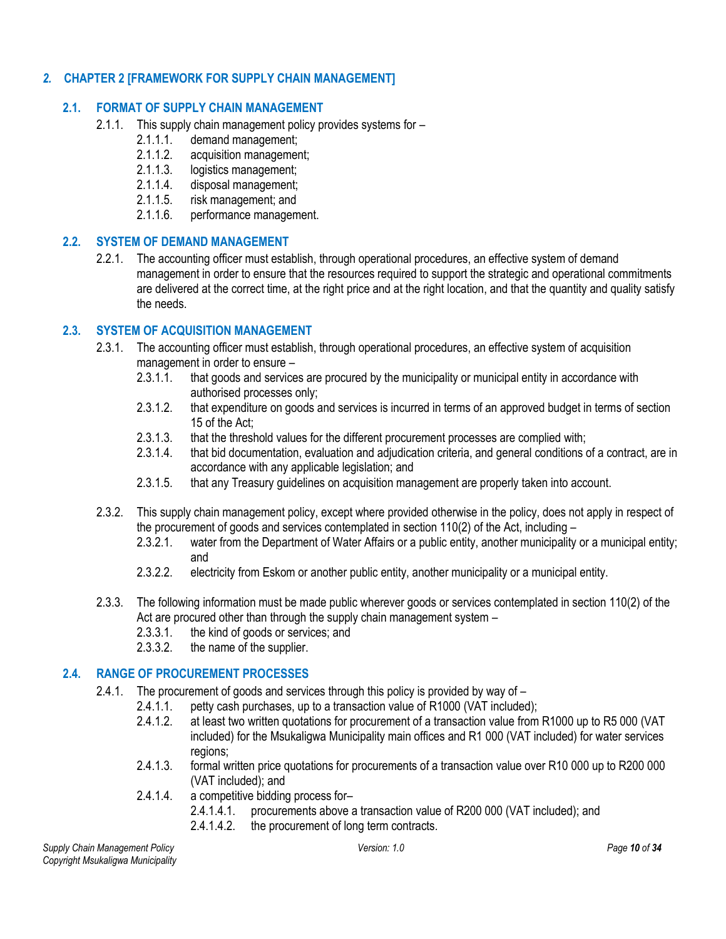## <span id="page-9-1"></span><span id="page-9-0"></span>*2.* **CHAPTER 2 [FRAMEWORK FOR SUPPLY CHAIN MANAGEMENT]**

## **2.1. FORMAT OF SUPPLY CHAIN MANAGEMENT**

- 2.1.1. This supply chain management policy provides systems for –<br>2.1.1.1. demand management:
	- demand management;
	- 2.1.1.2. acquisition management;
	- 2.1.1.3. logistics management;
	- 2.1.1.4. disposal management;
	- 2.1.1.5. risk management; and
	- 2.1.1.6. performance management.

#### <span id="page-9-2"></span>**2.2. SYSTEM OF DEMAND MANAGEMENT**

2.2.1. The accounting officer must establish, through operational procedures, an effective system of demand management in order to ensure that the resources required to support the strategic and operational commitments are delivered at the correct time, at the right price and at the right location, and that the quantity and quality satisfy the needs.

#### <span id="page-9-3"></span>**2.3. SYSTEM OF ACQUISITION MANAGEMENT**

- 2.3.1. The accounting officer must establish, through operational procedures, an effective system of acquisition management in order to ensure –
	- 2.3.1.1. that goods and services are procured by the municipality or municipal entity in accordance with authorised processes only;
	- 2.3.1.2. that expenditure on goods and services is incurred in terms of an approved budget in terms of section 15 of the Act;
	- 2.3.1.3. that the threshold values for the different procurement processes are complied with;
	- 2.3.1.4. that bid documentation, evaluation and adjudication criteria, and general conditions of a contract, are in accordance with any applicable legislation; and
	- 2.3.1.5. that any Treasury guidelines on acquisition management are properly taken into account.
- 2.3.2. This supply chain management policy, except where provided otherwise in the policy, does not apply in respect of the procurement of goods and services contemplated in section 110(2) of the Act, including –
	- 2.3.2.1. water from the Department of Water Affairs or a public entity, another municipality or a municipal entity; and
	- 2.3.2.2. electricity from Eskom or another public entity, another municipality or a municipal entity.
- 2.3.3. The following information must be made public wherever goods or services contemplated in section 110(2) of the Act are procured other than through the supply chain management system –
	- 2.3.3.1. the kind of goods or services; and
	- 2.3.3.2. the name of the supplier.

#### <span id="page-9-4"></span>**2.4. RANGE OF PROCUREMENT PROCESSES**

- 2.4.1. The procurement of goods and services through this policy is provided by way of
	- 2.4.1.1. petty cash purchases, up to a transaction value of R1000 (VAT included);
	- 2.4.1.2. at least two written quotations for procurement of a transaction value from R1000 up to R5 000 (VAT included) for the Msukaligwa Municipality main offices and R1 000 (VAT included) for water services regions;
	- 2.4.1.3. formal written price quotations for procurements of a transaction value over R10 000 up to R200 000 (VAT included); and
	- 2.4.1.4. a competitive bidding process for–
		- 2.4.1.4.1. procurements above a transaction value of R200 000 (VAT included); and
		- 2.4.1.4.2. the procurement of long term contracts.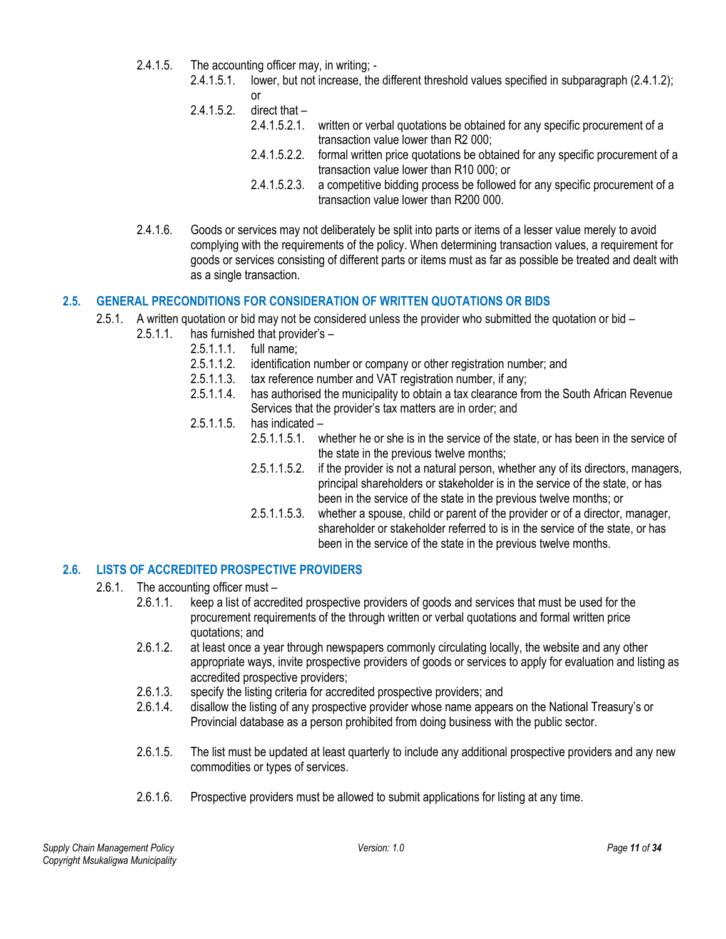- 2.4.1.5. The accounting officer may, in writing;
	- 2.4.1.5.1. lower, but not increase, the different threshold values specified in subparagraph (2.4.1.2); or
	- 2.4.1.5.2. direct that
		- 2.4.1.5.2.1. written or verbal quotations be obtained for any specific procurement of a transaction value lower than R2 000;
		- 2.4.1.5.2.2. formal written price quotations be obtained for any specific procurement of a transaction value lower than R10 000; or
		- 2.4.1.5.2.3. a competitive bidding process be followed for any specific procurement of a transaction value lower than R200 000.
- 2.4.1.6. Goods or services may not deliberately be split into parts or items of a lesser value merely to avoid complying with the requirements of the policy. When determining transaction values, a requirement for goods or services consisting of different parts or items must as far as possible be treated and dealt with as a single transaction.

#### <span id="page-10-0"></span>**2.5. GENERAL PRECONDITIONS FOR CONSIDERATION OF WRITTEN QUOTATIONS OR BIDS**

- 2.5.1. A written quotation or bid may not be considered unless the provider who submitted the quotation or bid
	- 2.5.1.1. has furnished that provider's
		- 2.5.1.1.1. full name;
		- 2.5.1.1.2. identification number or company or other registration number; and
		- 2.5.1.1.3. tax reference number and VAT registration number, if any;
		- 2.5.1.1.4. has authorised the municipality to obtain a tax clearance from the South African Revenue Services that the provider's tax matters are in order; and
		- 2.5.1.1.5. has indicated
			- 2.5.1.1.5.1. whether he or she is in the service of the state, or has been in the service of the state in the previous twelve months;
			- 2.5.1.1.5.2. if the provider is not a natural person, whether any of its directors, managers, principal shareholders or stakeholder is in the service of the state, or has been in the service of the state in the previous twelve months; or
			- 2.5.1.1.5.3. whether a spouse, child or parent of the provider or of a director, manager, shareholder or stakeholder referred to is in the service of the state, or has been in the service of the state in the previous twelve months.

## <span id="page-10-1"></span>**2.6. LISTS OF ACCREDITED PROSPECTIVE PROVIDERS**

- 2.6.1. The accounting officer must
	- 2.6.1.1. keep a list of accredited prospective providers of goods and services that must be used for the procurement requirements of the through written or verbal quotations and formal written price quotations; and
	- 2.6.1.2. at least once a year through newspapers commonly circulating locally, the website and any other appropriate ways, invite prospective providers of goods or services to apply for evaluation and listing as accredited prospective providers;
	- 2.6.1.3. specify the listing criteria for accredited prospective providers; and <br>2.6.1.4 disallow the listing of any prospective provider whose name appear
	- 2.6.1.4. disallow the listing of any prospective provider whose name appears on the National Treasury's or Provincial database as a person prohibited from doing business with the public sector.
	- 2.6.1.5. The list must be updated at least quarterly to include any additional prospective providers and any new commodities or types of services.
	- 2.6.1.6. Prospective providers must be allowed to submit applications for listing at any time.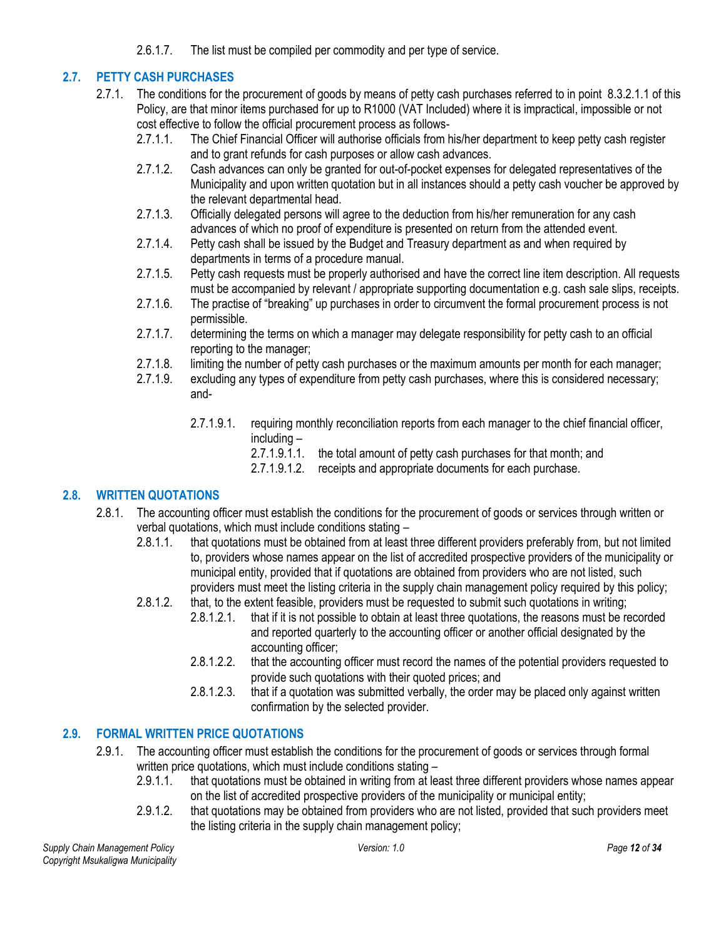2.6.1.7. The list must be compiled per commodity and per type of service.

# <span id="page-11-0"></span>**2.7. PETTY CASH PURCHASES**

- 2.7.1. The conditions for the procurement of goods by means of petty cash purchases referred to in point 8.3.2.1.1 of this Policy, are that minor items purchased for up to R1000 (VAT Included) where it is impractical, impossible or not cost effective to follow the official procurement process as follows-
	- 2.7.1.1. The Chief Financial Officer will authorise officials from his/her department to keep petty cash register and to grant refunds for cash purposes or allow cash advances.
	- 2.7.1.2. Cash advances can only be granted for out-of-pocket expenses for delegated representatives of the Municipality and upon written quotation but in all instances should a petty cash voucher be approved by the relevant departmental head.
	- 2.7.1.3. Officially delegated persons will agree to the deduction from his/her remuneration for any cash advances of which no proof of expenditure is presented on return from the attended event.
	- 2.7.1.4. Petty cash shall be issued by the Budget and Treasury department as and when required by departments in terms of a procedure manual.
	- 2.7.1.5. Petty cash requests must be properly authorised and have the correct line item description. All requests must be accompanied by relevant / appropriate supporting documentation e.g. cash sale slips, receipts.
	- 2.7.1.6. The practise of "breaking" up purchases in order to circumvent the formal procurement process is not permissible.
	- 2.7.1.7. determining the terms on which a manager may delegate responsibility for petty cash to an official reporting to the manager;
	- 2.7.1.8. limiting the number of petty cash purchases or the maximum amounts per month for each manager;
	- 2.7.1.9. excluding any types of expenditure from petty cash purchases, where this is considered necessary; and-
		- 2.7.1.9.1. requiring monthly reconciliation reports from each manager to the chief financial officer, including –
			- 2.7.1.9.1.1. the total amount of petty cash purchases for that month; and
			- 2.7.1.9.1.2. receipts and appropriate documents for each purchase.

# <span id="page-11-1"></span>**2.8. WRITTEN QUOTATIONS**

- 2.8.1. The accounting officer must establish the conditions for the procurement of goods or services through written or verbal quotations, which must include conditions stating –
	- 2.8.1.1. that quotations must be obtained from at least three different providers preferably from, but not limited to, providers whose names appear on the list of accredited prospective providers of the municipality or municipal entity, provided that if quotations are obtained from providers who are not listed, such providers must meet the listing criteria in the supply chain management policy required by this policy;
	- 2.8.1.2. that, to the extent feasible, providers must be requested to submit such quotations in writing;
		- 2.8.1.2.1. that if it is not possible to obtain at least three quotations, the reasons must be recorded and reported quarterly to the accounting officer or another official designated by the accounting officer;
		- 2.8.1.2.2. that the accounting officer must record the names of the potential providers requested to provide such quotations with their quoted prices; and
		- 2.8.1.2.3. that if a quotation was submitted verbally, the order may be placed only against written confirmation by the selected provider.

# <span id="page-11-2"></span>**2.9. FORMAL WRITTEN PRICE QUOTATIONS**

- 2.9.1. The accounting officer must establish the conditions for the procurement of goods or services through formal written price quotations, which must include conditions stating –
	- 2.9.1.1. that quotations must be obtained in writing from at least three different providers whose names appear on the list of accredited prospective providers of the municipality or municipal entity;
	- 2.9.1.2. that quotations may be obtained from providers who are not listed, provided that such providers meet the listing criteria in the supply chain management policy;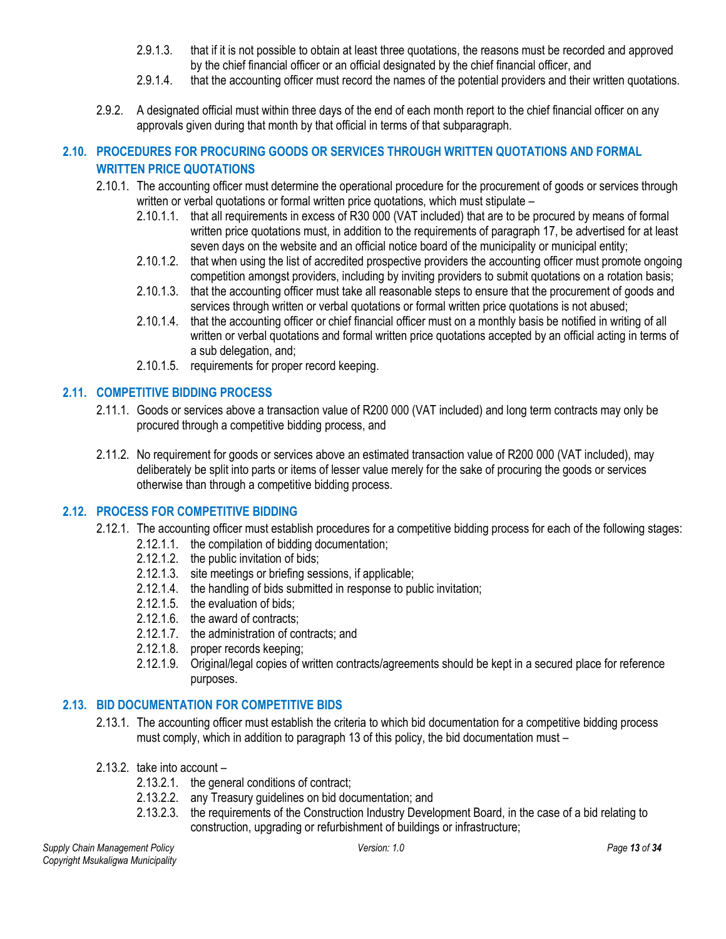- 2.9.1.3. that if it is not possible to obtain at least three quotations, the reasons must be recorded and approved by the chief financial officer or an official designated by the chief financial officer, and
- 2.9.1.4. that the accounting officer must record the names of the potential providers and their written quotations.
- 2.9.2. A designated official must within three days of the end of each month report to the chief financial officer on any approvals given during that month by that official in terms of that subparagraph.

# <span id="page-12-0"></span>**2.10. PROCEDURES FOR PROCURING GOODS OR SERVICES THROUGH WRITTEN QUOTATIONS AND FORMAL WRITTEN PRICE QUOTATIONS**

- 2.10.1. The accounting officer must determine the operational procedure for the procurement of goods or services through written or verbal quotations or formal written price quotations, which must stipulate –
	- 2.10.1.1. that all requirements in excess of R30 000 (VAT included) that are to be procured by means of formal written price quotations must, in addition to the requirements of paragraph 17, be advertised for at least seven days on the website and an official notice board of the municipality or municipal entity;
	- 2.10.1.2. that when using the list of accredited prospective providers the accounting officer must promote ongoing competition amongst providers, including by inviting providers to submit quotations on a rotation basis;
	- 2.10.1.3. that the accounting officer must take all reasonable steps to ensure that the procurement of goods and services through written or verbal quotations or formal written price quotations is not abused;
	- 2.10.1.4. that the accounting officer or chief financial officer must on a monthly basis be notified in writing of all written or verbal quotations and formal written price quotations accepted by an official acting in terms of a sub delegation, and;
	- 2.10.1.5. requirements for proper record keeping.

# <span id="page-12-1"></span>**2.11. COMPETITIVE BIDDING PROCESS**

- 2.11.1. Goods or services above a transaction value of R200 000 (VAT included) and long term contracts may only be procured through a competitive bidding process, and
- 2.11.2. No requirement for goods or services above an estimated transaction value of R200 000 (VAT included), may deliberately be split into parts or items of lesser value merely for the sake of procuring the goods or services otherwise than through a competitive bidding process.

## <span id="page-12-2"></span>**2.12. PROCESS FOR COMPETITIVE BIDDING**

- 2.12.1. The accounting officer must establish procedures for a competitive bidding process for each of the following stages:
	- 2.12.1.1. the compilation of bidding documentation;
	- 2.12.1.2. the public invitation of bids;
	- 2.12.1.3. site meetings or briefing sessions, if applicable;
	- 2.12.1.4. the handling of bids submitted in response to public invitation;
	- 2.12.1.5. the evaluation of bids;
	- 2.12.1.6. the award of contracts;
	- 2.12.1.7. the administration of contracts; and
	- 2.12.1.8. proper records keeping;
	- 2.12.1.9. Original/legal copies of written contracts/agreements should be kept in a secured place for reference purposes.

## <span id="page-12-3"></span>**2.13. BID DOCUMENTATION FOR COMPETITIVE BIDS**

- 2.13.1. The accounting officer must establish the criteria to which bid documentation for a competitive bidding process must comply, which in addition to paragraph 13 of this policy, the bid documentation must –
- 2.13.2. take into account
	- 2.13.2.1. the general conditions of contract;
	- 2.13.2.2. any Treasury guidelines on bid documentation; and
	- 2.13.2.3. the requirements of the Construction Industry Development Board, in the case of a bid relating to construction, upgrading or refurbishment of buildings or infrastructure;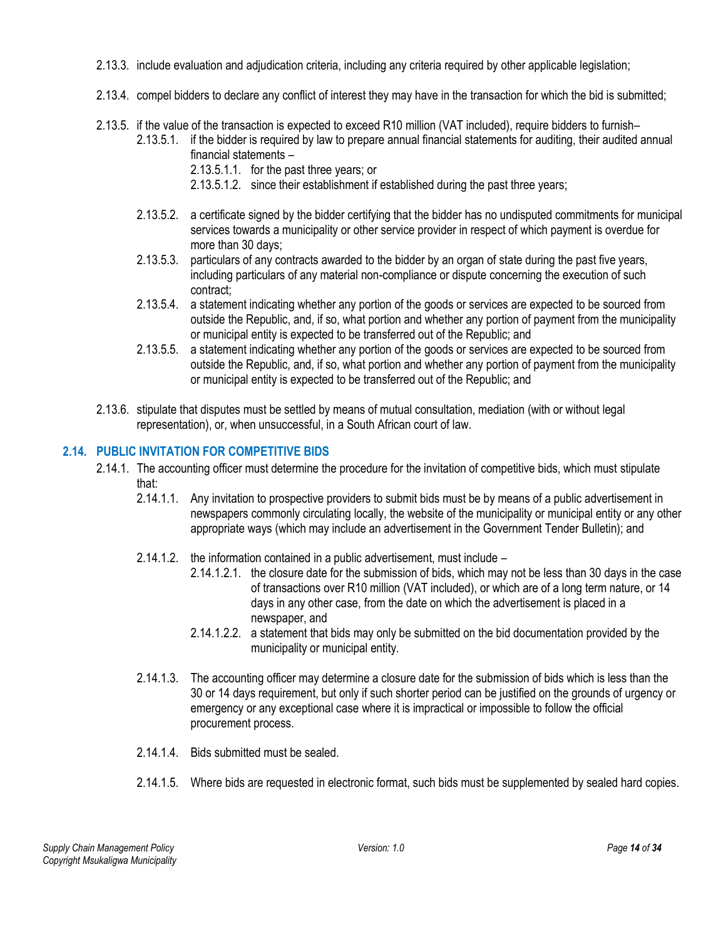- 2.13.3. include evaluation and adjudication criteria, including any criteria required by other applicable legislation;
- 2.13.4. compel bidders to declare any conflict of interest they may have in the transaction for which the bid is submitted;
- 2.13.5. if the value of the transaction is expected to exceed R10 million (VAT included), require bidders to furnish–
	- 2.13.5.1. if the bidder is required by law to prepare annual financial statements for auditing, their audited annual financial statements –
		- 2.13.5.1.1. for the past three years; or
		- 2.13.5.1.2. since their establishment if established during the past three years;
	- 2.13.5.2. a certificate signed by the bidder certifying that the bidder has no undisputed commitments for municipal services towards a municipality or other service provider in respect of which payment is overdue for more than 30 days;
	- 2.13.5.3. particulars of any contracts awarded to the bidder by an organ of state during the past five years, including particulars of any material non-compliance or dispute concerning the execution of such contract;
	- 2.13.5.4. a statement indicating whether any portion of the goods or services are expected to be sourced from outside the Republic, and, if so, what portion and whether any portion of payment from the municipality or municipal entity is expected to be transferred out of the Republic; and
	- 2.13.5.5. a statement indicating whether any portion of the goods or services are expected to be sourced from outside the Republic, and, if so, what portion and whether any portion of payment from the municipality or municipal entity is expected to be transferred out of the Republic; and
- 2.13.6. stipulate that disputes must be settled by means of mutual consultation, mediation (with or without legal representation), or, when unsuccessful, in a South African court of law.

# <span id="page-13-0"></span>**2.14. PUBLIC INVITATION FOR COMPETITIVE BIDS**

- 2.14.1. The accounting officer must determine the procedure for the invitation of competitive bids, which must stipulate that:
	- 2.14.1.1. Any invitation to prospective providers to submit bids must be by means of a public advertisement in newspapers commonly circulating locally, the website of the municipality or municipal entity or any other appropriate ways (which may include an advertisement in the Government Tender Bulletin); and
	- 2.14.1.2. the information contained in a public advertisement, must include
		- 2.14.1.2.1. the closure date for the submission of bids, which may not be less than 30 days in the case of transactions over R10 million (VAT included), or which are of a long term nature, or 14 days in any other case, from the date on which the advertisement is placed in a newspaper, and
		- 2.14.1.2.2. a statement that bids may only be submitted on the bid documentation provided by the municipality or municipal entity.
	- 2.14.1.3. The accounting officer may determine a closure date for the submission of bids which is less than the 30 or 14 days requirement, but only if such shorter period can be justified on the grounds of urgency or emergency or any exceptional case where it is impractical or impossible to follow the official procurement process.
	- 2.14.1.4. Bids submitted must be sealed.
	- 2.14.1.5. Where bids are requested in electronic format, such bids must be supplemented by sealed hard copies.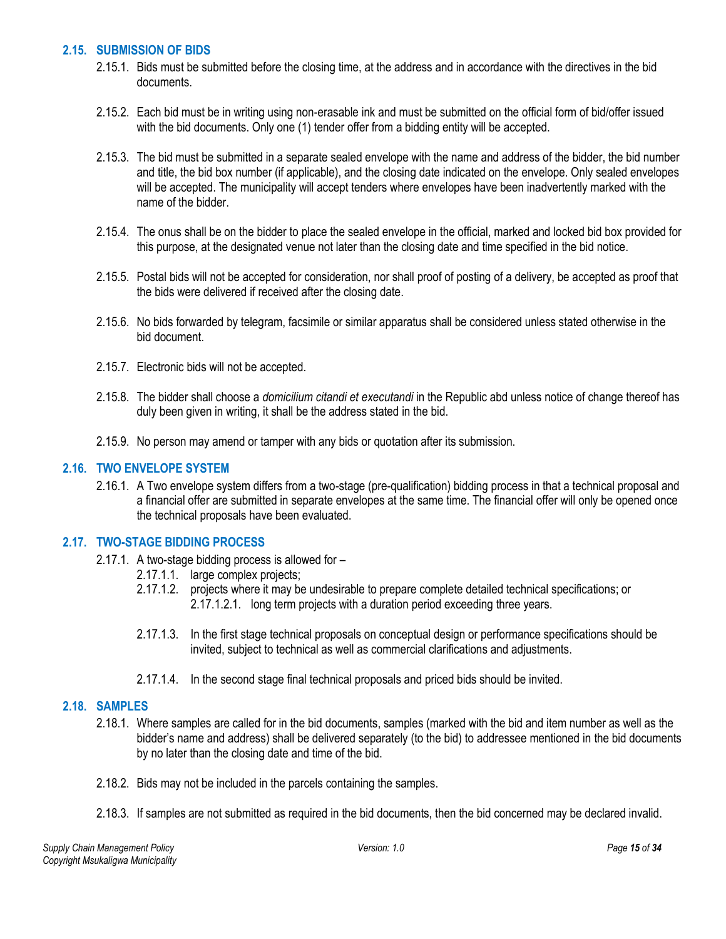#### <span id="page-14-0"></span>**2.15. SUBMISSION OF BIDS**

- 2.15.1. Bids must be submitted before the closing time, at the address and in accordance with the directives in the bid documents.
- 2.15.2. Each bid must be in writing using non-erasable ink and must be submitted on the official form of bid/offer issued with the bid documents. Only one (1) tender offer from a bidding entity will be accepted.
- 2.15.3. The bid must be submitted in a separate sealed envelope with the name and address of the bidder, the bid number and title, the bid box number (if applicable), and the closing date indicated on the envelope. Only sealed envelopes will be accepted. The municipality will accept tenders where envelopes have been inadvertently marked with the name of the bidder.
- 2.15.4. The onus shall be on the bidder to place the sealed envelope in the official, marked and locked bid box provided for this purpose, at the designated venue not later than the closing date and time specified in the bid notice.
- 2.15.5. Postal bids will not be accepted for consideration, nor shall proof of posting of a delivery, be accepted as proof that the bids were delivered if received after the closing date.
- 2.15.6. No bids forwarded by telegram, facsimile or similar apparatus shall be considered unless stated otherwise in the bid document.
- 2.15.7. Electronic bids will not be accepted.
- 2.15.8. The bidder shall choose a *domicilium citandi et executandi* in the Republic abd unless notice of change thereof has duly been given in writing, it shall be the address stated in the bid.
- 2.15.9. No person may amend or tamper with any bids or quotation after its submission.

#### <span id="page-14-1"></span>**2.16. TWO ENVELOPE SYSTEM**

2.16.1. A Two envelope system differs from a two-stage (pre-qualification) bidding process in that a technical proposal and a financial offer are submitted in separate envelopes at the same time. The financial offer will only be opened once the technical proposals have been evaluated.

#### <span id="page-14-2"></span>**2.17. TWO-STAGE BIDDING PROCESS**

- 2.17.1. A two-stage bidding process is allowed for
	- 2.17.1.1. large complex projects;
	- 2.17.1.2. projects where it may be undesirable to prepare complete detailed technical specifications; or 2.17.1.2.1. long term projects with a duration period exceeding three years.
	- 2.17.1.3. In the first stage technical proposals on conceptual design or performance specifications should be invited, subject to technical as well as commercial clarifications and adjustments.
	- 2.17.1.4. In the second stage final technical proposals and priced bids should be invited.

#### <span id="page-14-3"></span>**2.18. SAMPLES**

- 2.18.1. Where samples are called for in the bid documents, samples (marked with the bid and item number as well as the bidder's name and address) shall be delivered separately (to the bid) to addressee mentioned in the bid documents by no later than the closing date and time of the bid.
- 2.18.2. Bids may not be included in the parcels containing the samples.
- 2.18.3. If samples are not submitted as required in the bid documents, then the bid concerned may be declared invalid.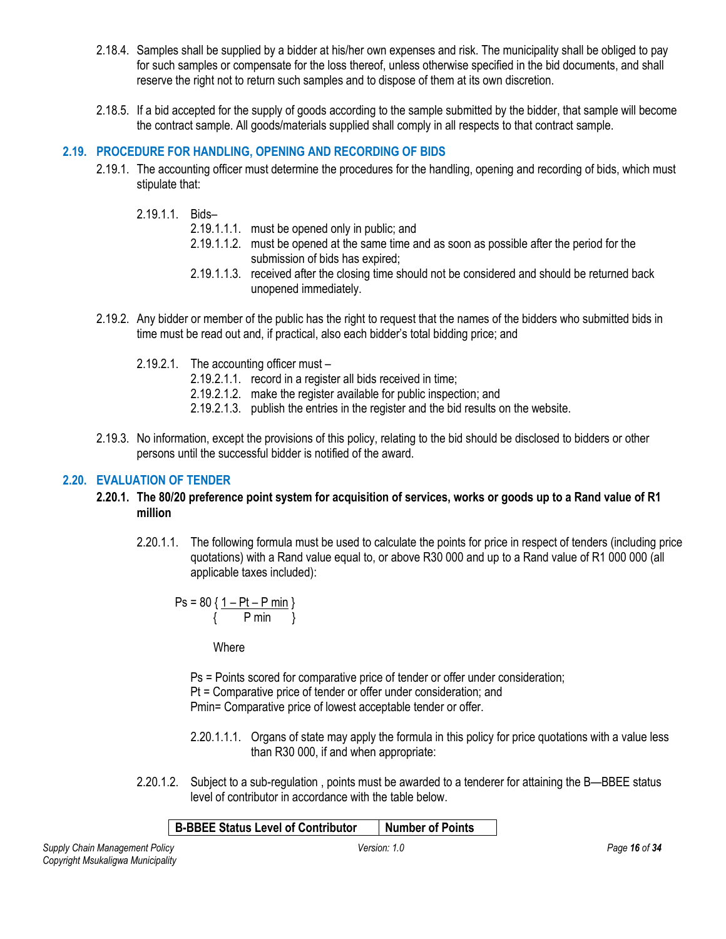- 2.18.4. Samples shall be supplied by a bidder at his/her own expenses and risk. The municipality shall be obliged to pay for such samples or compensate for the loss thereof, unless otherwise specified in the bid documents, and shall reserve the right not to return such samples and to dispose of them at its own discretion.
- 2.18.5. If a bid accepted for the supply of goods according to the sample submitted by the bidder, that sample will become the contract sample. All goods/materials supplied shall comply in all respects to that contract sample.

# <span id="page-15-0"></span>**2.19. PROCEDURE FOR HANDLING, OPENING AND RECORDING OF BIDS**

- 2.19.1. The accounting officer must determine the procedures for the handling, opening and recording of bids, which must stipulate that:
	- 2.19.1.1. Bids–
		- 2.19.1.1.1. must be opened only in public; and
		- 2.19.1.1.2. must be opened at the same time and as soon as possible after the period for the submission of bids has expired;
		- 2.19.1.1.3. received after the closing time should not be considered and should be returned back unopened immediately.
- 2.19.2. Any bidder or member of the public has the right to request that the names of the bidders who submitted bids in time must be read out and, if practical, also each bidder's total bidding price; and
	- 2.19.2.1. The accounting officer must
		- 2.19.2.1.1. record in a register all bids received in time;
		- 2.19.2.1.2. make the register available for public inspection; and
		- 2.19.2.1.3. publish the entries in the register and the bid results on the website.
- 2.19.3. No information, except the provisions of this policy, relating to the bid should be disclosed to bidders or other persons until the successful bidder is notified of the award.

## <span id="page-15-1"></span>**2.20. EVALUATION OF TENDER**

#### **2.20.1. The 80/20 preference point system for acquisition of services, works or goods up to a Rand value of R1 million**

2.20.1.1. The following formula must be used to calculate the points for price in respect of tenders (including price quotations) with a Rand value equal to, or above R30 000 and up to a Rand value of R1 000 000 (all applicable taxes included):

$$
Ps = 80 \left\{ \frac{1 - Pt - P \text{ min}}{P \text{ min}} \right\}
$$

**Where** 

Ps = Points scored for comparative price of tender or offer under consideration; Pt = Comparative price of tender or offer under consideration; and Pmin= Comparative price of lowest acceptable tender or offer.

- 2.20.1.1.1. Organs of state may apply the formula in this policy for price quotations with a value less than R30 000, if and when appropriate:
- 2.20.1.2. Subject to a sub-regulation , points must be awarded to a tenderer for attaining the B—BBEE status level of contributor in accordance with the table below.

## **B-BBEE Status Level of Contributor Number of Points**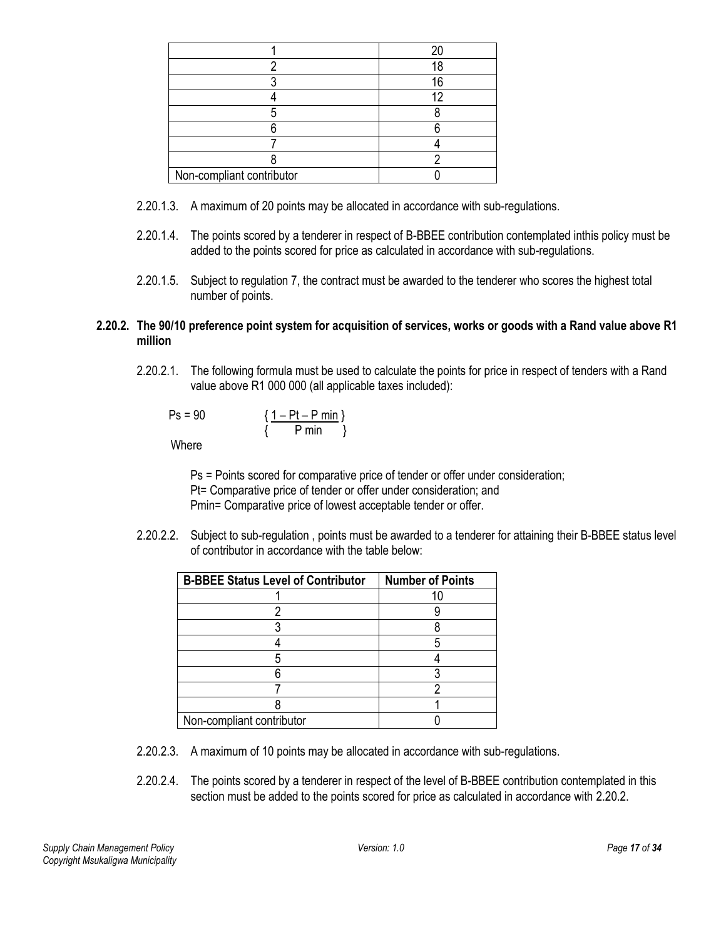|                           | հ |
|---------------------------|---|
|                           |   |
|                           |   |
|                           |   |
|                           |   |
|                           |   |
| Non-compliant contributor |   |

- 2.20.1.3. A maximum of 20 points may be allocated in accordance with sub-regulations.
- 2.20.1.4. The points scored by a tenderer in respect of B-BBEE contribution contemplated inthis policy must be added to the points scored for price as calculated in accordance with sub-regulations.
- 2.20.1.5. Subject to regulation 7, the contract must be awarded to the tenderer who scores the highest total number of points.

#### **2.20.2. The 90/10 preference point system for acquisition of services, works or goods with a Rand value above R1 million**

2.20.2.1. The following formula must be used to calculate the points for price in respect of tenders with a Rand value above R1 000 000 (all applicable taxes included):

$$
Ps = 90 \qquad \qquad \frac{1 - Pt - P \text{ min}}{\{P \text{ min }\}}
$$

**Where** 

Ps = Points scored for comparative price of tender or offer under consideration; Pt= Comparative price of tender or offer under consideration; and Pmin= Comparative price of lowest acceptable tender or offer.

2.20.2.2. Subject to sub-regulation , points must be awarded to a tenderer for attaining their B-BBEE status level of contributor in accordance with the table below:

| <b>B-BBEE Status Level of Contributor</b> | <b>Number of Points</b> |
|-------------------------------------------|-------------------------|
|                                           |                         |
|                                           |                         |
|                                           |                         |
|                                           |                         |
|                                           |                         |
|                                           |                         |
|                                           |                         |
|                                           |                         |
| Non-compliant contributor                 |                         |

- 2.20.2.3. A maximum of 10 points may be allocated in accordance with sub-regulations.
- 2.20.2.4. The points scored by a tenderer in respect of the level of B-BBEE contribution contemplated in this section must be added to the points scored for price as calculated in accordance with 2.20.2.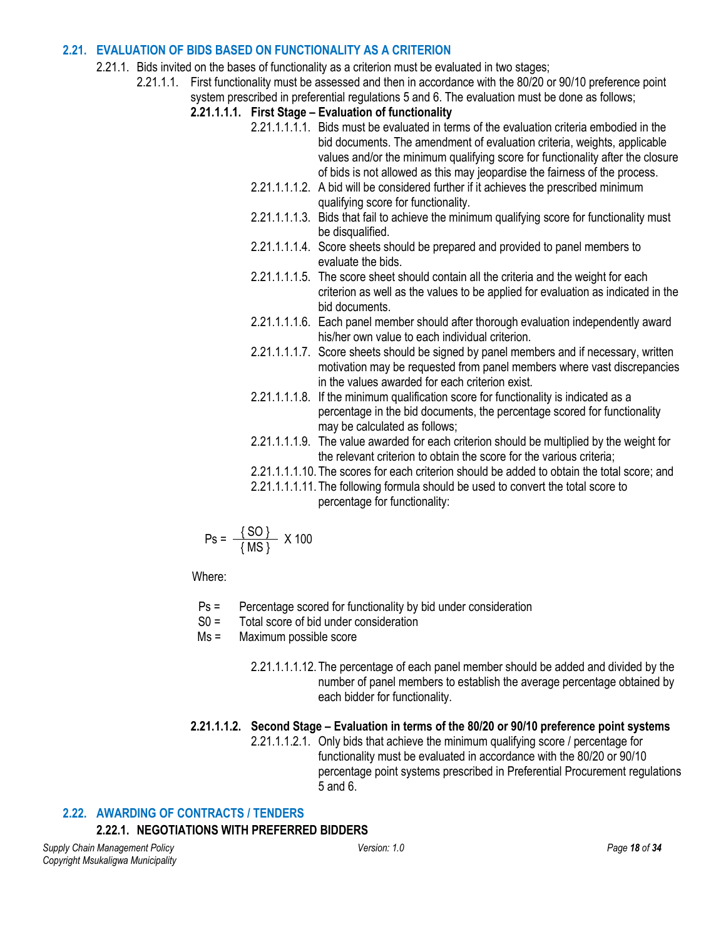#### <span id="page-17-0"></span>**2.21. EVALUATION OF BIDS BASED ON FUNCTIONALITY AS A CRITERION**

- 2.21.1. Bids invited on the bases of functionality as a criterion must be evaluated in two stages;
	- 2.21.1.1. First functionality must be assessed and then in accordance with the 80/20 or 90/10 preference point system prescribed in preferential regulations 5 and 6. The evaluation must be done as follows;
		- **2.21.1.1.1. First Stage – Evaluation of functionality**
			- 2.21.1.1.1.1. Bids must be evaluated in terms of the evaluation criteria embodied in the bid documents. The amendment of evaluation criteria, weights, applicable values and/or the minimum qualifying score for functionality after the closure of bids is not allowed as this may jeopardise the fairness of the process.
			- 2.21.1.1.1.2. A bid will be considered further if it achieves the prescribed minimum qualifying score for functionality.
			- 2.21.1.1.1.3. Bids that fail to achieve the minimum qualifying score for functionality must be disqualified.
			- 2.21.1.1.1.4. Score sheets should be prepared and provided to panel members to evaluate the bids.
			- 2.21.1.1.1.5. The score sheet should contain all the criteria and the weight for each criterion as well as the values to be applied for evaluation as indicated in the bid documents.
			- 2.21.1.1.1.6. Each panel member should after thorough evaluation independently award his/her own value to each individual criterion.
			- 2.21.1.1.1.7. Score sheets should be signed by panel members and if necessary, written motivation may be requested from panel members where vast discrepancies in the values awarded for each criterion exist.
			- 2.21.1.1.1.8. If the minimum qualification score for functionality is indicated as a percentage in the bid documents, the percentage scored for functionality may be calculated as follows;
			- 2.21.1.1.1.9. The value awarded for each criterion should be multiplied by the weight for the relevant criterion to obtain the score for the various criteria;
			- 2.21.1.1.1.10.The scores for each criterion should be added to obtain the total score; and
			- 2.21.1.1.1.11.The following formula should be used to convert the total score to percentage for functionality:

$$
Ps = \frac{\{SO\}}{\{MS\}} \times 100
$$

Where:

- Ps = Percentage scored for functionality by bid under consideration
- S0 = Total score of bid under consideration
- Ms = Maximum possible score
	- 2.21.1.1.1.12.The percentage of each panel member should be added and divided by the number of panel members to establish the average percentage obtained by each bidder for functionality.

## **2.21.1.1.2. Second Stage – Evaluation in terms of the 80/20 or 90/10 preference point systems**

2.21.1.1.2.1. Only bids that achieve the minimum qualifying score / percentage for functionality must be evaluated in accordance with the 80/20 or 90/10 percentage point systems prescribed in Preferential Procurement regulations 5 and 6.

## <span id="page-17-1"></span>**2.22. AWARDING OF CONTRACTS / TENDERS**

## **2.22.1. NEGOTIATIONS WITH PREFERRED BIDDERS**

*Supply Chain Management Policy Version: 1.0 Page 18 of 34 Copyright Msukaligwa Municipality*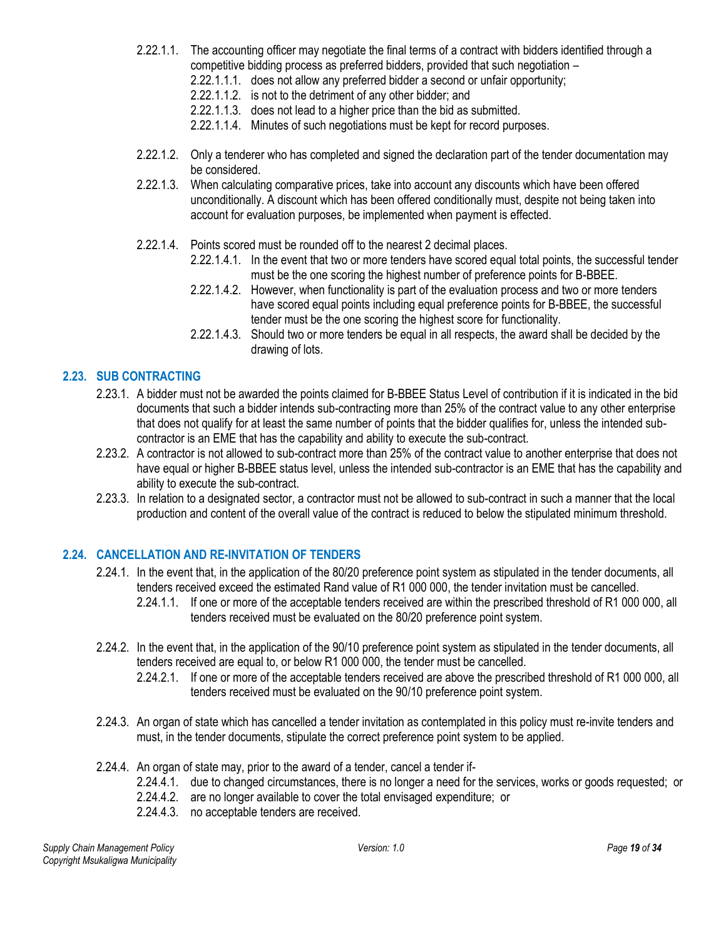- 2.22.1.1. The accounting officer may negotiate the final terms of a contract with bidders identified through a competitive bidding process as preferred bidders, provided that such negotiation –
	- 2.22.1.1.1. does not allow any preferred bidder a second or unfair opportunity;
	- 2.22.1.1.2. is not to the detriment of any other bidder; and
	- 2.22.1.1.3. does not lead to a higher price than the bid as submitted.
	- 2.22.1.1.4. Minutes of such negotiations must be kept for record purposes.
- 2.22.1.2. Only a tenderer who has completed and signed the declaration part of the tender documentation may be considered.
- 2.22.1.3. When calculating comparative prices, take into account any discounts which have been offered unconditionally. A discount which has been offered conditionally must, despite not being taken into account for evaluation purposes, be implemented when payment is effected.
- 2.22.1.4. Points scored must be rounded off to the nearest 2 decimal places.
	- 2.22.1.4.1. In the event that two or more tenders have scored equal total points, the successful tender must be the one scoring the highest number of preference points for B-BBEE.
	- 2.22.1.4.2. However, when functionality is part of the evaluation process and two or more tenders have scored equal points including equal preference points for B-BBEE, the successful tender must be the one scoring the highest score for functionality.
	- 2.22.1.4.3. Should two or more tenders be equal in all respects, the award shall be decided by the drawing of lots.

## <span id="page-18-0"></span>**2.23. SUB CONTRACTING**

- 2.23.1. A bidder must not be awarded the points claimed for B-BBEE Status Level of contribution if it is indicated in the bid documents that such a bidder intends sub-contracting more than 25% of the contract value to any other enterprise that does not qualify for at least the same number of points that the bidder qualifies for, unless the intended subcontractor is an EME that has the capability and ability to execute the sub-contract.
- 2.23.2. A contractor is not allowed to sub-contract more than 25% of the contract value to another enterprise that does not have equal or higher B-BBEE status level, unless the intended sub-contractor is an EME that has the capability and ability to execute the sub-contract.
- 2.23.3. In relation to a designated sector, a contractor must not be allowed to sub-contract in such a manner that the local production and content of the overall value of the contract is reduced to below the stipulated minimum threshold.

## <span id="page-18-1"></span>**2.24. CANCELLATION AND RE-INVITATION OF TENDERS**

- 2.24.1. In the event that, in the application of the 80/20 preference point system as stipulated in the tender documents, all tenders received exceed the estimated Rand value of R1 000 000, the tender invitation must be cancelled. 2.24.1.1. If one or more of the acceptable tenders received are within the prescribed threshold of R1 000 000, all tenders received must be evaluated on the 80/20 preference point system.
- 2.24.2. In the event that, in the application of the 90/10 preference point system as stipulated in the tender documents, all tenders received are equal to, or below R1 000 000, the tender must be cancelled.
	- 2.24.2.1. If one or more of the acceptable tenders received are above the prescribed threshold of R1 000 000, all tenders received must be evaluated on the 90/10 preference point system.
- 2.24.3. An organ of state which has cancelled a tender invitation as contemplated in this policy must re-invite tenders and must, in the tender documents, stipulate the correct preference point system to be applied.
- 2.24.4. An organ of state may, prior to the award of a tender, cancel a tender if-
	- 2.24.4.1. due to changed circumstances, there is no longer a need for the services, works or goods requested; or
	- 2.24.4.2. are no longer available to cover the total envisaged expenditure; or
	- 2.24.4.3. no acceptable tenders are received.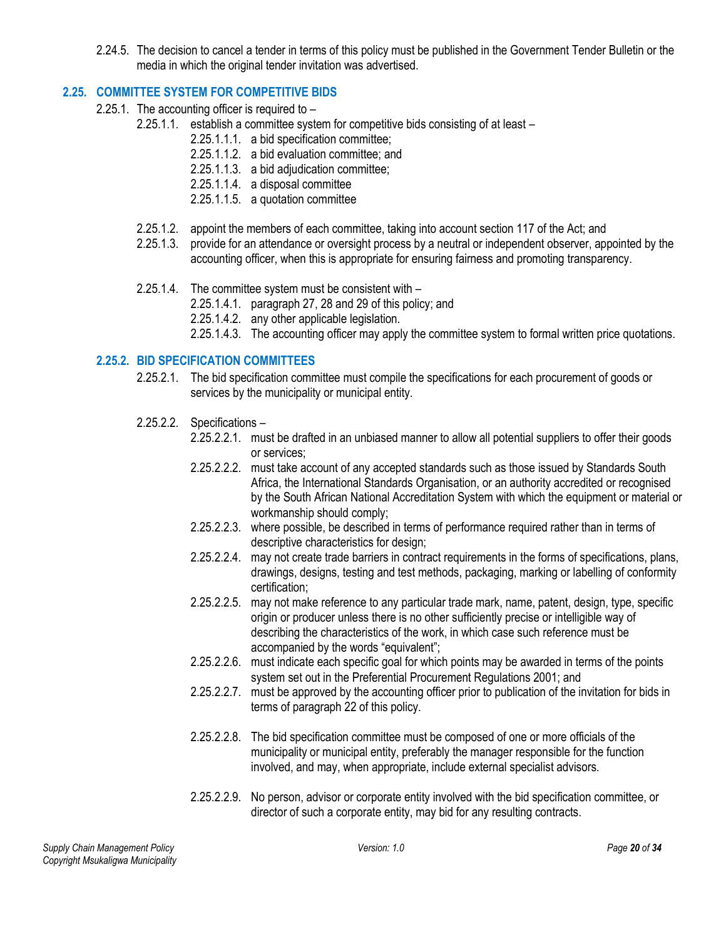2.24.5. The decision to cancel a tender in terms of this policy must be published in the Government Tender Bulletin or the media in which the original tender invitation was advertised.

# <span id="page-19-0"></span>**2.25. COMMITTEE SYSTEM FOR COMPETITIVE BIDS**

- 2.25.1. The accounting officer is required to
	- 2.25.1.1. establish a committee system for competitive bids consisting of at least
		- 2.25.1.1.1. a bid specification committee;
		- 2.25.1.1.2. a bid evaluation committee; and
		- 2.25.1.1.3. a bid adjudication committee;
		- 2.25.1.1.4. a disposal committee
		- 2.25.1.1.5. a quotation committee
	- 2.25.1.2. appoint the members of each committee, taking into account section 117 of the Act; and
	- 2.25.1.3. provide for an attendance or oversight process by a neutral or independent observer, appointed by the accounting officer, when this is appropriate for ensuring fairness and promoting transparency.
	- 2.25.1.4. The committee system must be consistent with
		- 2.25.1.4.1. paragraph 27, 28 and 29 of this policy; and
		- 2.25.1.4.2. any other applicable legislation.
		- 2.25.1.4.3. The accounting officer may apply the committee system to formal written price quotations.

# <span id="page-19-1"></span>**2.25.2. BID SPECIFICATION COMMITTEES**

- 2.25.2.1. The bid specification committee must compile the specifications for each procurement of goods or services by the municipality or municipal entity.
- 2.25.2.2. Specifications
	- 2.25.2.2.1. must be drafted in an unbiased manner to allow all potential suppliers to offer their goods or services;
	- 2.25.2.2.2. must take account of any accepted standards such as those issued by Standards South Africa, the International Standards Organisation, or an authority accredited or recognised by the South African National Accreditation System with which the equipment or material or workmanship should comply;
	- 2.25.2.2.3. where possible, be described in terms of performance required rather than in terms of descriptive characteristics for design;
	- 2.25.2.2.4. may not create trade barriers in contract requirements in the forms of specifications, plans, drawings, designs, testing and test methods, packaging, marking or labelling of conformity certification;
	- 2.25.2.2.5. may not make reference to any particular trade mark, name, patent, design, type, specific origin or producer unless there is no other sufficiently precise or intelligible way of describing the characteristics of the work, in which case such reference must be accompanied by the words "equivalent";
	- 2.25.2.2.6. must indicate each specific goal for which points may be awarded in terms of the points system set out in the Preferential Procurement Regulations 2001; and
	- 2.25.2.2.7. must be approved by the accounting officer prior to publication of the invitation for bids in terms of paragraph 22 of this policy.
	- 2.25.2.2.8. The bid specification committee must be composed of one or more officials of the municipality or municipal entity, preferably the manager responsible for the function involved, and may, when appropriate, include external specialist advisors.
	- 2.25.2.2.9. No person, advisor or corporate entity involved with the bid specification committee, or director of such a corporate entity, may bid for any resulting contracts.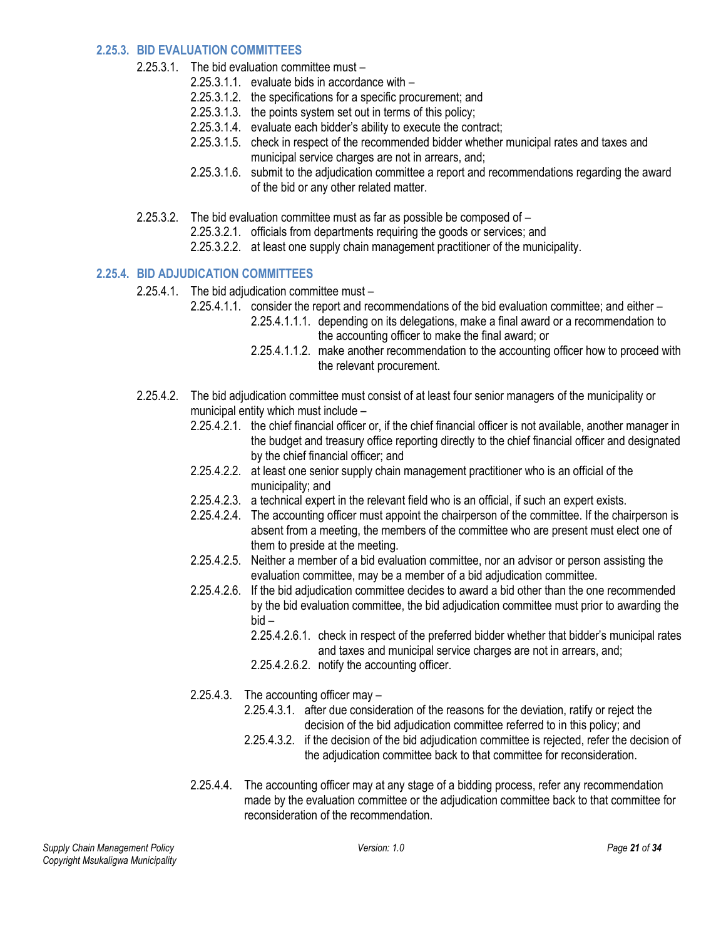#### <span id="page-20-0"></span>**2.25.3. BID EVALUATION COMMITTEES**

- 2.25.3.1. The bid evaluation committee must
	- 2.25.3.1.1. evaluate bids in accordance with –
	- 2.25.3.1.2. the specifications for a specific procurement; and
	- 2.25.3.1.3. the points system set out in terms of this policy;
	- 2.25.3.1.4. evaluate each bidder's ability to execute the contract;
	- 2.25.3.1.5. check in respect of the recommended bidder whether municipal rates and taxes and municipal service charges are not in arrears, and;
	- 2.25.3.1.6. submit to the adjudication committee a report and recommendations regarding the award of the bid or any other related matter.
- 2.25.3.2. The bid evaluation committee must as far as possible be composed of
	- 2.25.3.2.1. officials from departments requiring the goods or services; and
	- 2.25.3.2.2. at least one supply chain management practitioner of the municipality.

## <span id="page-20-1"></span>**2.25.4. BID ADJUDICATION COMMITTEES**

- 2.25.4.1. The bid adjudication committee must
	- 2.25.4.1.1. consider the report and recommendations of the bid evaluation committee; and either
		- 2.25.4.1.1.1. depending on its delegations, make a final award or a recommendation to the accounting officer to make the final award; or
		- 2.25.4.1.1.2. make another recommendation to the accounting officer how to proceed with the relevant procurement.
- 2.25.4.2. The bid adjudication committee must consist of at least four senior managers of the municipality or municipal entity which must include –
	- 2.25.4.2.1. the chief financial officer or, if the chief financial officer is not available, another manager in the budget and treasury office reporting directly to the chief financial officer and designated by the chief financial officer; and
	- 2.25.4.2.2. at least one senior supply chain management practitioner who is an official of the municipality; and
	- 2.25.4.2.3. a technical expert in the relevant field who is an official, if such an expert exists.
	- 2.25.4.2.4. The accounting officer must appoint the chairperson of the committee. If the chairperson is absent from a meeting, the members of the committee who are present must elect one of them to preside at the meeting.
	- 2.25.4.2.5. Neither a member of a bid evaluation committee, nor an advisor or person assisting the evaluation committee, may be a member of a bid adjudication committee.
	- 2.25.4.2.6. If the bid adjudication committee decides to award a bid other than the one recommended by the bid evaluation committee, the bid adjudication committee must prior to awarding the bid –
		- 2.25.4.2.6.1. check in respect of the preferred bidder whether that bidder's municipal rates and taxes and municipal service charges are not in arrears, and;
		- 2.25.4.2.6.2. notify the accounting officer.
	- 2.25.4.3. The accounting officer may
		- 2.25.4.3.1. after due consideration of the reasons for the deviation, ratify or reject the decision of the bid adjudication committee referred to in this policy; and
		- 2.25.4.3.2. if the decision of the bid adjudication committee is rejected, refer the decision of the adjudication committee back to that committee for reconsideration.
	- 2.25.4.4. The accounting officer may at any stage of a bidding process, refer any recommendation made by the evaluation committee or the adjudication committee back to that committee for reconsideration of the recommendation.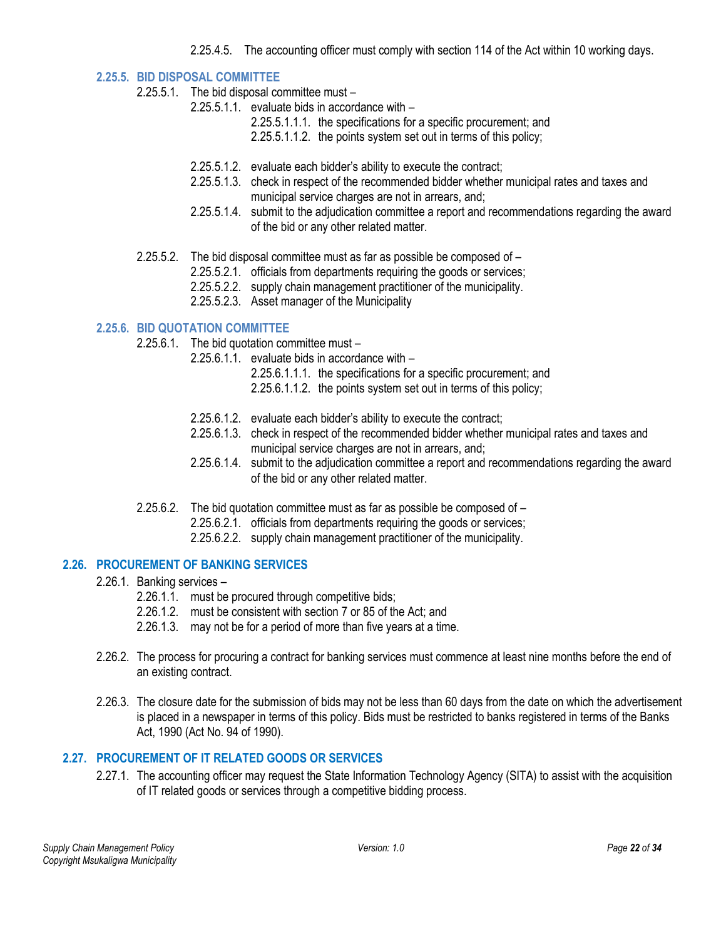2.25.4.5. The accounting officer must comply with section 114 of the Act within 10 working days.

#### <span id="page-21-0"></span>**2.25.5. BID DISPOSAL COMMITTEE**

- 2.25.5.1. The bid disposal committee must
	- 2.25.5.1.1. evaluate bids in accordance with
		- 2.25.5.1.1.1. the specifications for a specific procurement; and
		- 2.25.5.1.1.2. the points system set out in terms of this policy;
		- 2.25.5.1.2. evaluate each bidder's ability to execute the contract;
		- 2.25.5.1.3. check in respect of the recommended bidder whether municipal rates and taxes and municipal service charges are not in arrears, and;
		- 2.25.5.1.4. submit to the adjudication committee a report and recommendations regarding the award of the bid or any other related matter.
- 2.25.5.2. The bid disposal committee must as far as possible be composed of
	- 2.25.5.2.1. officials from departments requiring the goods or services;
	- 2.25.5.2.2. supply chain management practitioner of the municipality.
	- 2.25.5.2.3. Asset manager of the Municipality

## <span id="page-21-1"></span>**2.25.6. BID QUOTATION COMMITTEE**

- 2.25.6.1. The bid quotation committee must
	- 2.25.6.1.1. evaluate bids in accordance with
		- 2.25.6.1.1.1. the specifications for a specific procurement; and
		- 2.25.6.1.1.2. the points system set out in terms of this policy;
		- 2.25.6.1.2. evaluate each bidder's ability to execute the contract;
		- 2.25.6.1.3. check in respect of the recommended bidder whether municipal rates and taxes and municipal service charges are not in arrears, and;
		- 2.25.6.1.4. submit to the adjudication committee a report and recommendations regarding the award of the bid or any other related matter.
- 2.25.6.2. The bid quotation committee must as far as possible be composed of
	- 2.25.6.2.1. officials from departments requiring the goods or services;
	- 2.25.6.2.2. supply chain management practitioner of the municipality.

## <span id="page-21-2"></span>**2.26. PROCUREMENT OF BANKING SERVICES**

- 2.26.1. Banking services
	- 2.26.1.1. must be procured through competitive bids;
	- 2.26.1.2. must be consistent with section 7 or 85 of the Act; and
	- 2.26.1.3. may not be for a period of more than five years at a time.
- 2.26.2. The process for procuring a contract for banking services must commence at least nine months before the end of an existing contract.
- 2.26.3. The closure date for the submission of bids may not be less than 60 days from the date on which the advertisement is placed in a newspaper in terms of this policy. Bids must be restricted to banks registered in terms of the Banks Act, 1990 (Act No. 94 of 1990).

## <span id="page-21-3"></span>**2.27. PROCUREMENT OF IT RELATED GOODS OR SERVICES**

2.27.1. The accounting officer may request the State Information Technology Agency (SITA) to assist with the acquisition of IT related goods or services through a competitive bidding process.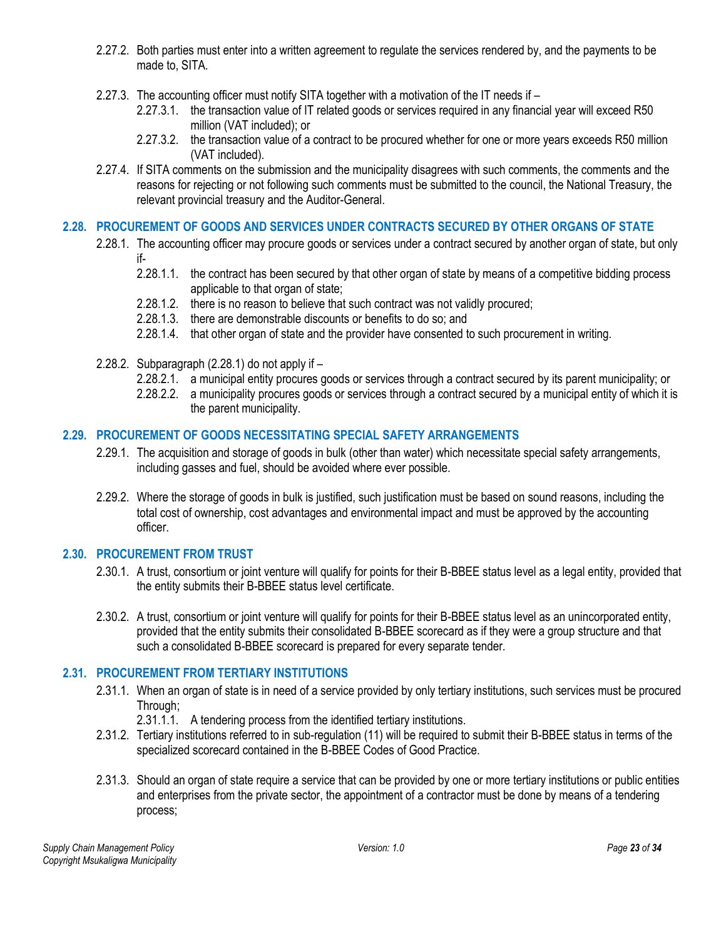- 2.27.2. Both parties must enter into a written agreement to regulate the services rendered by, and the payments to be made to, SITA.
- 2.27.3. The accounting officer must notify SITA together with a motivation of the IT needs if
	- 2.27.3.1. the transaction value of IT related goods or services required in any financial year will exceed R50 million (VAT included); or
	- 2.27.3.2. the transaction value of a contract to be procured whether for one or more years exceeds R50 million (VAT included).
- 2.27.4. If SITA comments on the submission and the municipality disagrees with such comments, the comments and the reasons for rejecting or not following such comments must be submitted to the council, the National Treasury, the relevant provincial treasury and the Auditor-General.

## <span id="page-22-0"></span>**2.28. PROCUREMENT OF GOODS AND SERVICES UNDER CONTRACTS SECURED BY OTHER ORGANS OF STATE**

- 2.28.1. The accounting officer may procure goods or services under a contract secured by another organ of state, but only if-
	- 2.28.1.1. the contract has been secured by that other organ of state by means of a competitive bidding process applicable to that organ of state;
	- 2.28.1.2. there is no reason to believe that such contract was not validly procured;
	- 2.28.1.3. there are demonstrable discounts or benefits to do so; and
	- 2.28.1.4. that other organ of state and the provider have consented to such procurement in writing.
- 2.28.2. Subparagraph (2.28.1) do not apply if
	- 2.28.2.1. a municipal entity procures goods or services through a contract secured by its parent municipality; or
	- 2.28.2.2. a municipality procures goods or services through a contract secured by a municipal entity of which it is the parent municipality.

## <span id="page-22-1"></span>**2.29. PROCUREMENT OF GOODS NECESSITATING SPECIAL SAFETY ARRANGEMENTS**

- 2.29.1. The acquisition and storage of goods in bulk (other than water) which necessitate special safety arrangements, including gasses and fuel, should be avoided where ever possible.
- 2.29.2. Where the storage of goods in bulk is justified, such justification must be based on sound reasons, including the total cost of ownership, cost advantages and environmental impact and must be approved by the accounting officer.

## <span id="page-22-2"></span>**2.30. PROCUREMENT FROM TRUST**

- 2.30.1. A trust, consortium or joint venture will qualify for points for their B-BBEE status level as a legal entity, provided that the entity submits their B-BBEE status level certificate.
- 2.30.2. A trust, consortium or joint venture will qualify for points for their B-BBEE status level as an unincorporated entity, provided that the entity submits their consolidated B-BBEE scorecard as if they were a group structure and that such a consolidated B-BBEE scorecard is prepared for every separate tender.

## <span id="page-22-3"></span>**2.31. PROCUREMENT FROM TERTIARY INSTITUTIONS**

- 2.31.1. When an organ of state is in need of a service provided by only tertiary institutions, such services must be procured Through;
	- 2.31.1.1. A tendering process from the identified tertiary institutions.
- 2.31.2. Tertiary institutions referred to in sub-regulation (11) will be required to submit their B-BBEE status in terms of the specialized scorecard contained in the B-BBEE Codes of Good Practice.
- 2.31.3. Should an organ of state require a service that can be provided by one or more tertiary institutions or public entities and enterprises from the private sector, the appointment of a contractor must be done by means of a tendering process;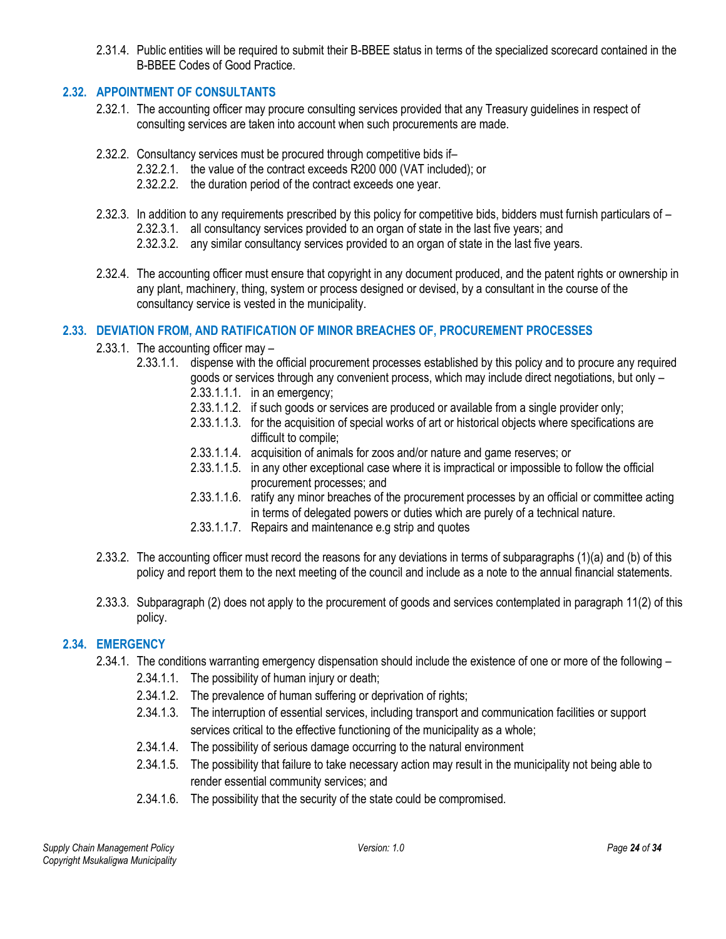2.31.4. Public entities will be required to submit their B-BBEE status in terms of the specialized scorecard contained in the B-BBEE Codes of Good Practice.

## <span id="page-23-0"></span>**2.32. APPOINTMENT OF CONSULTANTS**

- 2.32.1. The accounting officer may procure consulting services provided that any Treasury guidelines in respect of consulting services are taken into account when such procurements are made.
- 2.32.2. Consultancy services must be procured through competitive bids if–
	- 2.32.2.1. the value of the contract exceeds R200 000 (VAT included); or
	- 2.32.2.2. the duration period of the contract exceeds one year.
- 2.32.3. In addition to any requirements prescribed by this policy for competitive bids, bidders must furnish particulars of 2.32.3.1. all consultancy services provided to an organ of state in the last five years; and
	- 2.32.3.2. any similar consultancy services provided to an organ of state in the last five years.
- 2.32.4. The accounting officer must ensure that copyright in any document produced, and the patent rights or ownership in any plant, machinery, thing, system or process designed or devised, by a consultant in the course of the consultancy service is vested in the municipality.

# <span id="page-23-1"></span>**2.33. DEVIATION FROM, AND RATIFICATION OF MINOR BREACHES OF, PROCUREMENT PROCESSES**

- 2.33.1. The accounting officer may
	- 2.33.1.1. dispense with the official procurement processes established by this policy and to procure any required goods or services through any convenient process, which may include direct negotiations, but only –
		- 2.33.1.1.1. in an emergency;
		- 2.33.1.1.2. if such goods or services are produced or available from a single provider only;
		- 2.33.1.1.3. for the acquisition of special works of art or historical objects where specifications are difficult to compile;
		- 2.33.1.1.4. acquisition of animals for zoos and/or nature and game reserves; or
		- 2.33.1.1.5. in any other exceptional case where it is impractical or impossible to follow the official procurement processes; and
		- 2.33.1.1.6. ratify any minor breaches of the procurement processes by an official or committee acting in terms of delegated powers or duties which are purely of a technical nature.
		- 2.33.1.1.7. Repairs and maintenance e.g strip and quotes
- 2.33.2. The accounting officer must record the reasons for any deviations in terms of subparagraphs (1)(a) and (b) of this policy and report them to the next meeting of the council and include as a note to the annual financial statements.
- 2.33.3. Subparagraph (2) does not apply to the procurement of goods and services contemplated in paragraph 11(2) of this policy.

# <span id="page-23-2"></span>**2.34. EMERGENCY**

- 2.34.1. The conditions warranting emergency dispensation should include the existence of one or more of the following
	- 2.34.1.1. The possibility of human injury or death;
	- 2.34.1.2. The prevalence of human suffering or deprivation of rights;
	- 2.34.1.3. The interruption of essential services, including transport and communication facilities or support services critical to the effective functioning of the municipality as a whole;
	- 2.34.1.4. The possibility of serious damage occurring to the natural environment
	- 2.34.1.5. The possibility that failure to take necessary action may result in the municipality not being able to render essential community services; and
	- 2.34.1.6. The possibility that the security of the state could be compromised.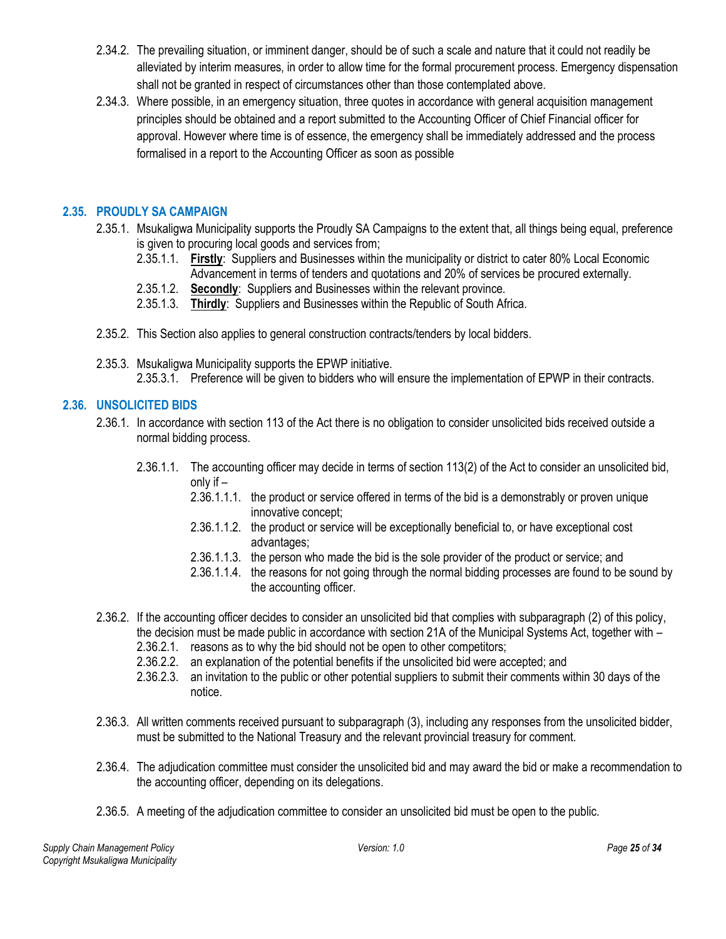- 2.34.2. The prevailing situation, or imminent danger, should be of such a scale and nature that it could not readily be alleviated by interim measures, in order to allow time for the formal procurement process. Emergency dispensation shall not be granted in respect of circumstances other than those contemplated above.
- 2.34.3. Where possible, in an emergency situation, three quotes in accordance with general acquisition management principles should be obtained and a report submitted to the Accounting Officer of Chief Financial officer for approval. However where time is of essence, the emergency shall be immediately addressed and the process formalised in a report to the Accounting Officer as soon as possible

# <span id="page-24-0"></span>**2.35. PROUDLY SA CAMPAIGN**

- 2.35.1. Msukaligwa Municipality supports the Proudly SA Campaigns to the extent that, all things being equal, preference is given to procuring local goods and services from;
	- 2.35.1.1. **Firstly**: Suppliers and Businesses within the municipality or district to cater 80% Local Economic Advancement in terms of tenders and quotations and 20% of services be procured externally.
	- 2.35.1.2. **Secondly**: Suppliers and Businesses within the relevant province.
	- 2.35.1.3. **Thirdly**: Suppliers and Businesses within the Republic of South Africa.
- 2.35.2. This Section also applies to general construction contracts/tenders by local bidders.
- 2.35.3. Msukaligwa Municipality supports the EPWP initiative. 2.35.3.1. Preference will be given to bidders who will ensure the implementation of EPWP in their contracts.

# <span id="page-24-1"></span>**2.36. UNSOLICITED BIDS**

- 2.36.1. In accordance with section 113 of the Act there is no obligation to consider unsolicited bids received outside a normal bidding process.
	- 2.36.1.1. The accounting officer may decide in terms of section 113(2) of the Act to consider an unsolicited bid, only if –
		- 2.36.1.1.1. the product or service offered in terms of the bid is a demonstrably or proven unique innovative concept;
		- 2.36.1.1.2. the product or service will be exceptionally beneficial to, or have exceptional cost advantages;
		- 2.36.1.1.3. the person who made the bid is the sole provider of the product or service; and
		- 2.36.1.1.4. the reasons for not going through the normal bidding processes are found to be sound by the accounting officer.
- 2.36.2. If the accounting officer decides to consider an unsolicited bid that complies with subparagraph (2) of this policy, the decision must be made public in accordance with section 21A of the Municipal Systems Act, together with –
	- 2.36.2.1. reasons as to why the bid should not be open to other competitors;
	- 2.36.2.2. an explanation of the potential benefits if the unsolicited bid were accepted; and
	- 2.36.2.3. an invitation to the public or other potential suppliers to submit their comments within 30 days of the notice.
- 2.36.3. All written comments received pursuant to subparagraph (3), including any responses from the unsolicited bidder, must be submitted to the National Treasury and the relevant provincial treasury for comment.
- 2.36.4. The adjudication committee must consider the unsolicited bid and may award the bid or make a recommendation to the accounting officer, depending on its delegations.
- 2.36.5. A meeting of the adjudication committee to consider an unsolicited bid must be open to the public.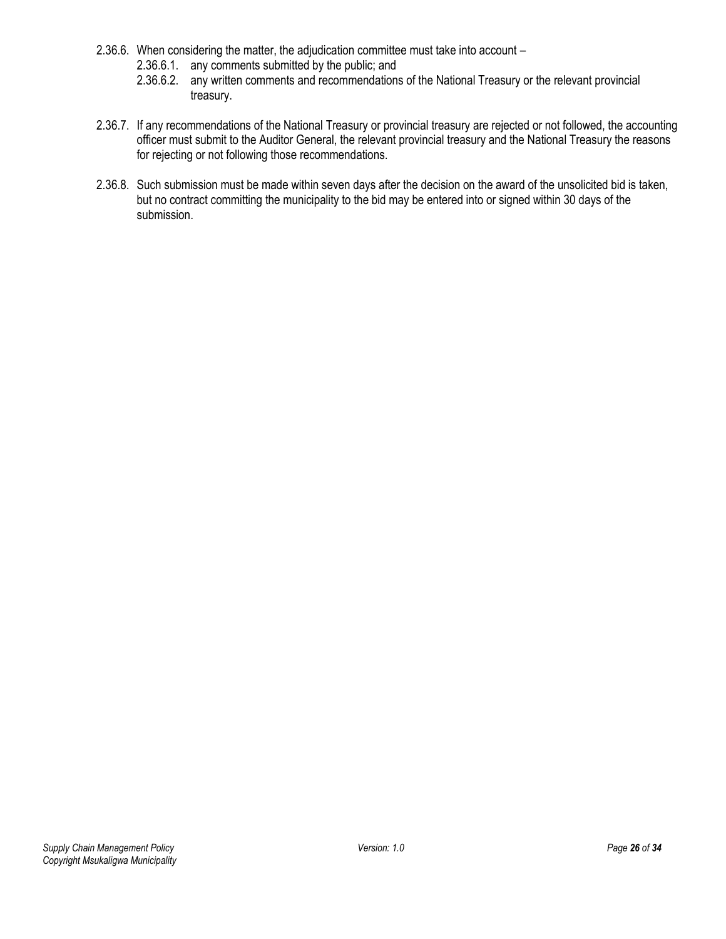- 2.36.6. When considering the matter, the adjudication committee must take into account
	- 2.36.6.1. any comments submitted by the public; and
	- 2.36.6.2. any written comments and recommendations of the National Treasury or the relevant provincial treasury.
- 2.36.7. If any recommendations of the National Treasury or provincial treasury are rejected or not followed, the accounting officer must submit to the Auditor General, the relevant provincial treasury and the National Treasury the reasons for rejecting or not following those recommendations.
- 2.36.8. Such submission must be made within seven days after the decision on the award of the unsolicited bid is taken, but no contract committing the municipality to the bid may be entered into or signed within 30 days of the submission.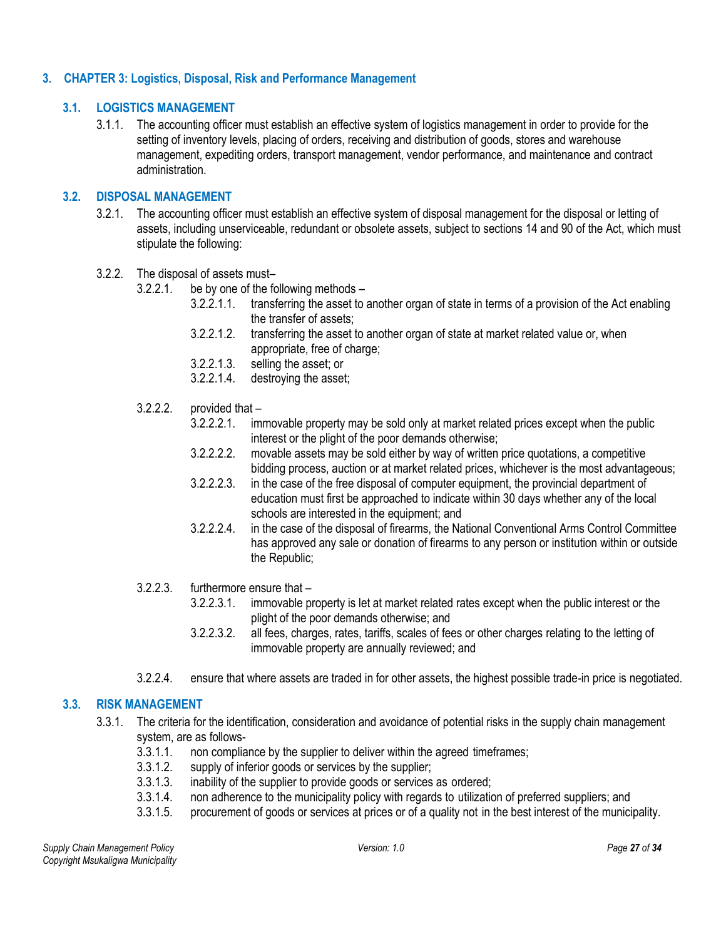#### <span id="page-26-1"></span><span id="page-26-0"></span>**3. CHAPTER 3: Logistics, Disposal, Risk and Performance Management**

#### **3.1. LOGISTICS MANAGEMENT**

3.1.1. The accounting officer must establish an effective system of logistics management in order to provide for the setting of inventory levels, placing of orders, receiving and distribution of goods, stores and warehouse management, expediting orders, transport management, vendor performance, and maintenance and contract administration.

#### <span id="page-26-2"></span>**3.2. DISPOSAL MANAGEMENT**

- 3.2.1. The accounting officer must establish an effective system of disposal management for the disposal or letting of assets, including unserviceable, redundant or obsolete assets, subject to sections 14 and 90 of the Act, which must stipulate the following:
- 3.2.2. The disposal of assets must–
	- 3.2.2.1. be by one of the following methods
		- 3.2.2.1.1. transferring the asset to another organ of state in terms of a provision of the Act enabling the transfer of assets;
		- 3.2.2.1.2. transferring the asset to another organ of state at market related value or, when appropriate, free of charge;
		- 3.2.2.1.3. selling the asset; or
		- 3.2.2.1.4. destroying the asset;
	- $3.2.2.2.$  provided that  $-$ 
		- 3.2.2.2.1. immovable property may be sold only at market related prices except when the public interest or the plight of the poor demands otherwise;
		- 3.2.2.2.2. movable assets may be sold either by way of written price quotations, a competitive bidding process, auction or at market related prices, whichever is the most advantageous;
		- 3.2.2.2.3. in the case of the free disposal of computer equipment, the provincial department of education must first be approached to indicate within 30 days whether any of the local schools are interested in the equipment; and
		- 3.2.2.2.4. in the case of the disposal of firearms, the National Conventional Arms Control Committee has approved any sale or donation of firearms to any person or institution within or outside the Republic;
	- 3.2.2.3. furthermore ensure that
		- 3.2.2.3.1. immovable property is let at market related rates except when the public interest or the plight of the poor demands otherwise; and
		- 3.2.2.3.2. all fees, charges, rates, tariffs, scales of fees or other charges relating to the letting of immovable property are annually reviewed; and
	- 3.2.2.4. ensure that where assets are traded in for other assets, the highest possible trade-in price is negotiated.

## <span id="page-26-3"></span>**3.3. RISK MANAGEMENT**

- 3.3.1. The criteria for the identification, consideration and avoidance of potential risks in the supply chain management system, are as follows-
	- 3.3.1.1. non compliance by the supplier to deliver within the agreed timeframes;
	- 3.3.1.2. supply of inferior goods or services by the supplier;
	- 3.3.1.3. inability of the supplier to provide goods or services as ordered;
	- 3.3.1.4. non adherence to the municipality policy with regards to utilization of preferred suppliers; and
	- 3.3.1.5. procurement of goods or services at prices or of a quality not in the best interest of the municipality.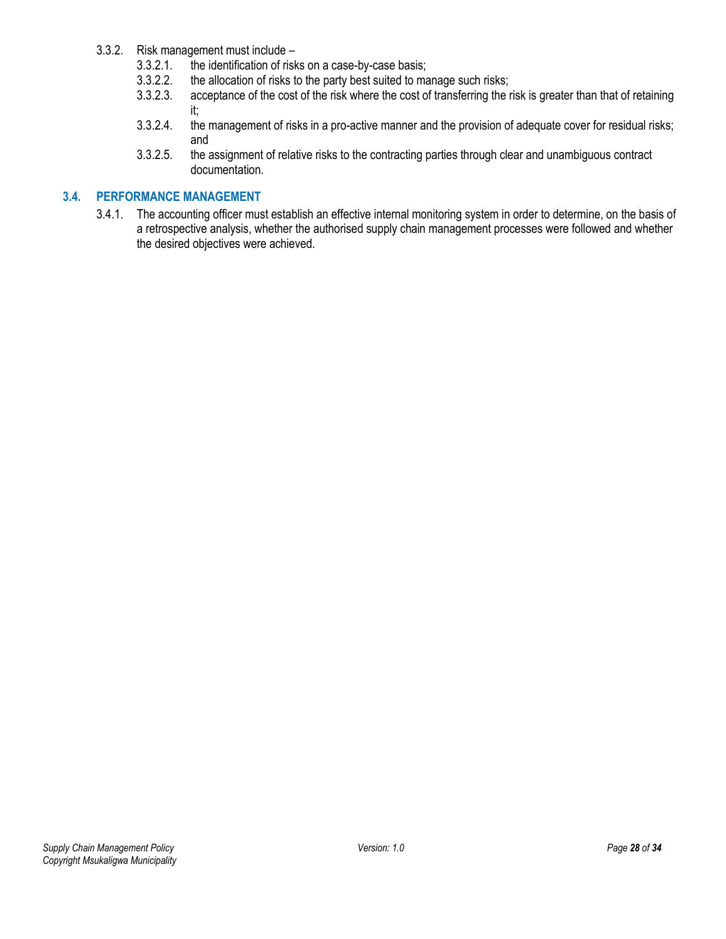- 3.3.2. Risk management must include
	- 3.3.2.1. the identification of risks on a case-by-case basis;<br>3.3.2.2. the allocation of risks to the party best suited to ma
	- the allocation of risks to the party best suited to manage such risks;
	- 3.3.2.3. acceptance of the cost of the risk where the cost of transferring the risk is greater than that of retaining it;
	- 3.3.2.4. the management of risks in a pro-active manner and the provision of adequate cover for residual risks; and
	- 3.3.2.5. the assignment of relative risks to the contracting parties through clear and unambiguous contract documentation.

#### <span id="page-27-0"></span>**3.4. PERFORMANCE MANAGEMENT**

3.4.1. The accounting officer must establish an effective internal monitoring system in order to determine, on the basis of a retrospective analysis, whether the authorised supply chain management processes were followed and whether the desired objectives were achieved.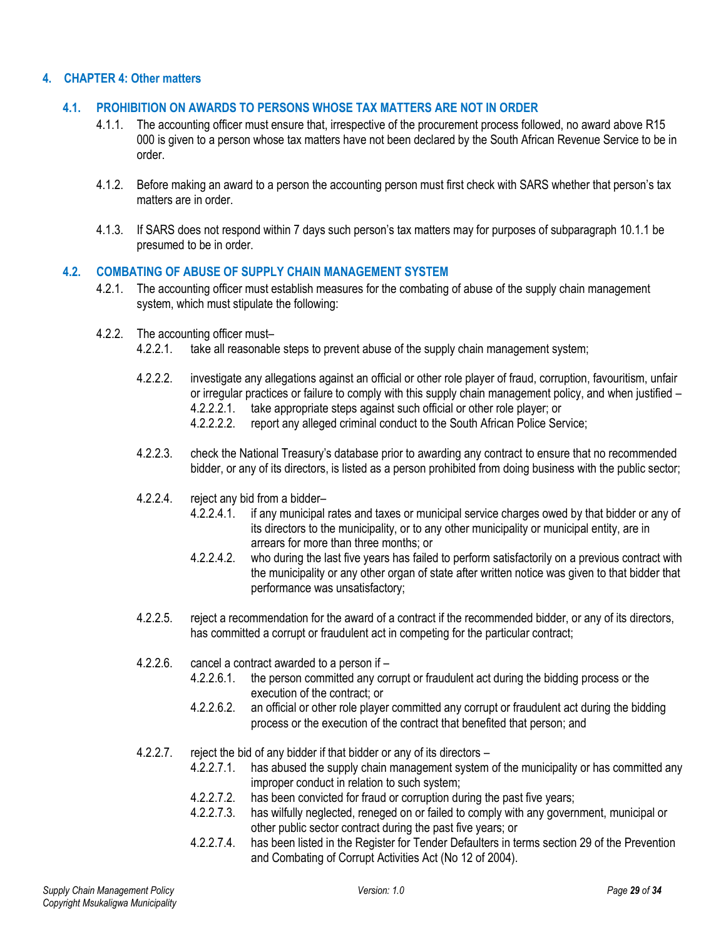## <span id="page-28-1"></span><span id="page-28-0"></span>**4. CHAPTER 4: Other matters**

#### **4.1. PROHIBITION ON AWARDS TO PERSONS WHOSE TAX MATTERS ARE NOT IN ORDER**

- 4.1.1. The accounting officer must ensure that, irrespective of the procurement process followed, no award above R15 000 is given to a person whose tax matters have not been declared by the South African Revenue Service to be in order.
- 4.1.2. Before making an award to a person the accounting person must first check with SARS whether that person's tax matters are in order.
- 4.1.3. If SARS does not respond within 7 days such person's tax matters may for purposes of subparagraph 10.1.1 be presumed to be in order.

#### <span id="page-28-2"></span>**4.2. COMBATING OF ABUSE OF SUPPLY CHAIN MANAGEMENT SYSTEM**

- 4.2.1. The accounting officer must establish measures for the combating of abuse of the supply chain management system, which must stipulate the following:
- 4.2.2. The accounting officer must–
	- 4.2.2.1. take all reasonable steps to prevent abuse of the supply chain management system;
	- 4.2.2.2. investigate any allegations against an official or other role player of fraud, corruption, favouritism, unfair or irregular practices or failure to comply with this supply chain management policy, and when justified – 4.2.2.2.1. take appropriate steps against such official or other role player; or
		- 4.2.2.2.2. report any alleged criminal conduct to the South African Police Service;
	- 4.2.2.3. check the National Treasury's database prior to awarding any contract to ensure that no recommended bidder, or any of its directors, is listed as a person prohibited from doing business with the public sector;
	- 4.2.2.4. reject any bid from a bidder–
		- 4.2.2.4.1. if any municipal rates and taxes or municipal service charges owed by that bidder or any of its directors to the municipality, or to any other municipality or municipal entity, are in arrears for more than three months; or
		- 4.2.2.4.2. who during the last five years has failed to perform satisfactorily on a previous contract with the municipality or any other organ of state after written notice was given to that bidder that performance was unsatisfactory;
	- 4.2.2.5. reject a recommendation for the award of a contract if the recommended bidder, or any of its directors, has committed a corrupt or fraudulent act in competing for the particular contract;
	- 4.2.2.6. cancel a contract awarded to a person if
		- 4.2.2.6.1. the person committed any corrupt or fraudulent act during the bidding process or the execution of the contract; or
		- 4.2.2.6.2. an official or other role player committed any corrupt or fraudulent act during the bidding process or the execution of the contract that benefited that person; and
	- 4.2.2.7. reject the bid of any bidder if that bidder or any of its directors
		- 4.2.2.7.1. has abused the supply chain management system of the municipality or has committed any improper conduct in relation to such system;
		- 4.2.2.7.2. has been convicted for fraud or corruption during the past five years;
		- 4.2.2.7.3. has wilfully neglected, reneged on or failed to comply with any government, municipal or other public sector contract during the past five years; or
		- 4.2.2.7.4. has been listed in the Register for Tender Defaulters in terms section 29 of the Prevention and Combating of Corrupt Activities Act (No 12 of 2004).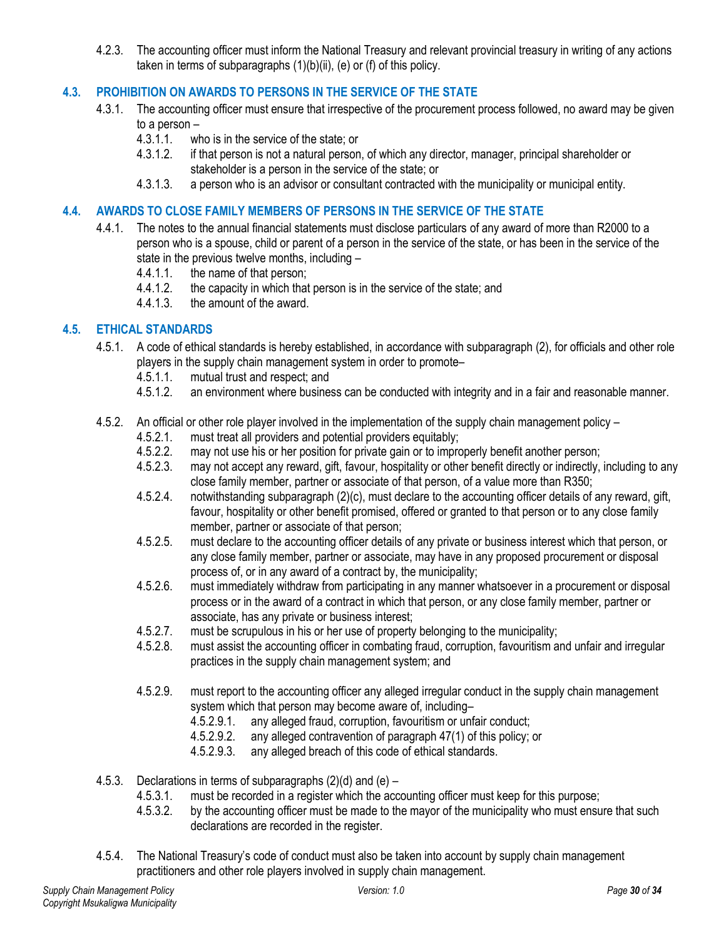4.2.3. The accounting officer must inform the National Treasury and relevant provincial treasury in writing of any actions taken in terms of subparagraphs (1)(b)(ii), (e) or (f) of this policy.

# <span id="page-29-0"></span>**4.3. PROHIBITION ON AWARDS TO PERSONS IN THE SERVICE OF THE STATE**

- 4.3.1. The accounting officer must ensure that irrespective of the procurement process followed, no award may be given to a person –
	- 4.3.1.1. who is in the service of the state; or
	- 4.3.1.2. if that person is not a natural person, of which any director, manager, principal shareholder or stakeholder is a person in the service of the state; or
	- 4.3.1.3. a person who is an advisor or consultant contracted with the municipality or municipal entity.

#### <span id="page-29-1"></span>**4.4. AWARDS TO CLOSE FAMILY MEMBERS OF PERSONS IN THE SERVICE OF THE STATE**

- 4.4.1. The notes to the annual financial statements must disclose particulars of any award of more than R2000 to a person who is a spouse, child or parent of a person in the service of the state, or has been in the service of the state in the previous twelve months, including –
	- 4.4.1.1. the name of that person;
	- 4.4.1.2. the capacity in which that person is in the service of the state; and
	- 4.4.1.3. the amount of the award.

## <span id="page-29-2"></span>**4.5. ETHICAL STANDARDS**

- 4.5.1. A code of ethical standards is hereby established, in accordance with subparagraph (2), for officials and other role players in the supply chain management system in order to promote–
	- 4.5.1.1. mutual trust and respect; and<br>4.5.1.2. an environment where busines
	- an environment where business can be conducted with integrity and in a fair and reasonable manner.
- 4.5.2. An official or other role player involved in the implementation of the supply chain management policy
	- 4.5.2.1. must treat all providers and potential providers equitably;<br>4.5.2.2. may not use his or her position for private gain or to impro
	- may not use his or her position for private gain or to improperly benefit another person;
	- 4.5.2.3. may not accept any reward, gift, favour, hospitality or other benefit directly or indirectly, including to any close family member, partner or associate of that person, of a value more than R350;
	- 4.5.2.4. notwithstanding subparagraph (2)(c), must declare to the accounting officer details of any reward, gift, favour, hospitality or other benefit promised, offered or granted to that person or to any close family member, partner or associate of that person;
	- 4.5.2.5. must declare to the accounting officer details of any private or business interest which that person, or any close family member, partner or associate, may have in any proposed procurement or disposal process of, or in any award of a contract by, the municipality;
	- 4.5.2.6. must immediately withdraw from participating in any manner whatsoever in a procurement or disposal process or in the award of a contract in which that person, or any close family member, partner or associate, has any private or business interest;
	- 4.5.2.7. must be scrupulous in his or her use of property belonging to the municipality;
	- 4.5.2.8. must assist the accounting officer in combating fraud, corruption, favouritism and unfair and irregular practices in the supply chain management system; and
	- 4.5.2.9. must report to the accounting officer any alleged irregular conduct in the supply chain management system which that person may become aware of, including–
		- 4.5.2.9.1. any alleged fraud, corruption, favouritism or unfair conduct;
		- 4.5.2.9.2. any alleged contravention of paragraph 47(1) of this policy; or
		- 4.5.2.9.3. any alleged breach of this code of ethical standards.
- 4.5.3. Declarations in terms of subparagraphs (2)(d) and (e)
	- 4.5.3.1. must be recorded in a register which the accounting officer must keep for this purpose;
	- 4.5.3.2. by the accounting officer must be made to the mayor of the municipality who must ensure that such declarations are recorded in the register.
- 4.5.4. The National Treasury's code of conduct must also be taken into account by supply chain management practitioners and other role players involved in supply chain management.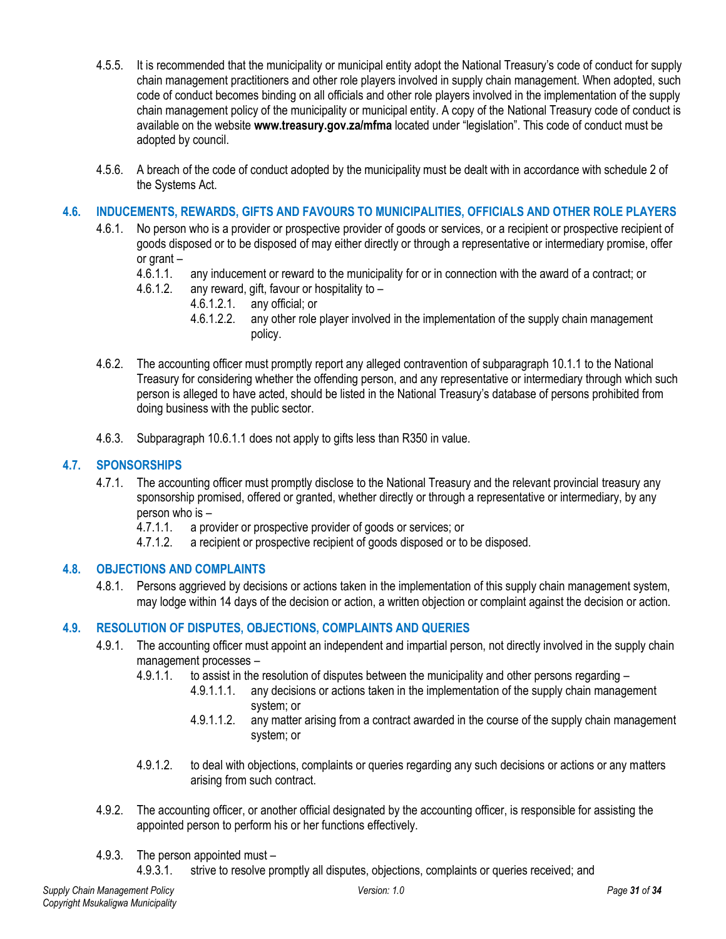- 4.5.5. It is recommended that the municipality or municipal entity adopt the National Treasury's code of conduct for supply chain management practitioners and other role players involved in supply chain management. When adopted, such code of conduct becomes binding on all officials and other role players involved in the implementation of the supply chain management policy of the municipality or municipal entity. A copy of the National Treasury code of conduct is available on the website **www.treasury.gov.za/mfma** located under "legislation". This code of conduct must be adopted by council.
- 4.5.6. A breach of the code of conduct adopted by the municipality must be dealt with in accordance with schedule 2 of the Systems Act.

## <span id="page-30-0"></span>**4.6. INDUCEMENTS, REWARDS, GIFTS AND FAVOURS TO MUNICIPALITIES, OFFICIALS AND OTHER ROLE PLAYERS**

- 4.6.1. No person who is a provider or prospective provider of goods or services, or a recipient or prospective recipient of goods disposed or to be disposed of may either directly or through a representative or intermediary promise, offer or grant –<br>4.6.1.1.
	- any inducement or reward to the municipality for or in connection with the award of a contract; or
	- 4.6.1.2. any reward, gift, favour or hospitality to
		- 4.6.1.2.1. any official; or
		- 4.6.1.2.2. any other role player involved in the implementation of the supply chain management policy.
- 4.6.2. The accounting officer must promptly report any alleged contravention of subparagraph 10.1.1 to the National Treasury for considering whether the offending person, and any representative or intermediary through which such person is alleged to have acted, should be listed in the National Treasury's database of persons prohibited from doing business with the public sector.
- 4.6.3. Subparagraph 10.6.1.1 does not apply to gifts less than R350 in value.

#### <span id="page-30-1"></span>**4.7. SPONSORSHIPS**

- 4.7.1. The accounting officer must promptly disclose to the National Treasury and the relevant provincial treasury any sponsorship promised, offered or granted, whether directly or through a representative or intermediary, by any person who is –
	- 4.7.1.1. a provider or prospective provider of goods or services; or
	- 4.7.1.2. a recipient or prospective recipient of goods disposed or to be disposed.

# <span id="page-30-2"></span>**4.8. OBJECTIONS AND COMPLAINTS**

4.8.1. Persons aggrieved by decisions or actions taken in the implementation of this supply chain management system, may lodge within 14 days of the decision or action, a written objection or complaint against the decision or action.

## <span id="page-30-3"></span>**4.9. RESOLUTION OF DISPUTES, OBJECTIONS, COMPLAINTS AND QUERIES**

- 4.9.1. The accounting officer must appoint an independent and impartial person, not directly involved in the supply chain management processes –
	- 4.9.1.1. to assist in the resolution of disputes between the municipality and other persons regarding
		- 4.9.1.1.1. any decisions or actions taken in the implementation of the supply chain management system; or
		- 4.9.1.1.2. any matter arising from a contract awarded in the course of the supply chain management system; or
	- 4.9.1.2. to deal with objections, complaints or queries regarding any such decisions or actions or any matters arising from such contract.
- 4.9.2. The accounting officer, or another official designated by the accounting officer, is responsible for assisting the appointed person to perform his or her functions effectively.
- 4.9.3. The person appointed must
	- 4.9.3.1. strive to resolve promptly all disputes, objections, complaints or queries received; and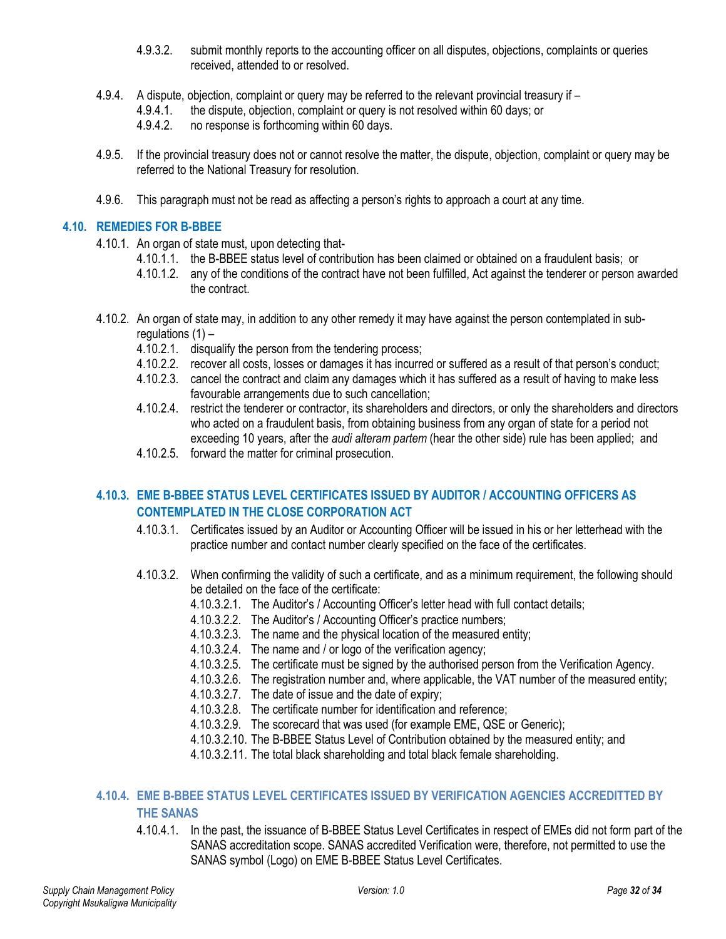- 4.9.3.2. submit monthly reports to the accounting officer on all disputes, objections, complaints or queries received, attended to or resolved.
- 4.9.4. A dispute, objection, complaint or query may be referred to the relevant provincial treasury if
	- 4.9.4.1. the dispute, objection, complaint or query is not resolved within 60 days; or
		- 4.9.4.2. no response is forthcoming within 60 days.
- 4.9.5. If the provincial treasury does not or cannot resolve the matter, the dispute, objection, complaint or query may be referred to the National Treasury for resolution.
- 4.9.6. This paragraph must not be read as affecting a person's rights to approach a court at any time.

#### <span id="page-31-0"></span>**4.10. REMEDIES FOR B-BBEE**

- 4.10.1. An organ of state must, upon detecting that-
	- 4.10.1.1. the B-BBEE status level of contribution has been claimed or obtained on a fraudulent basis; or
	- 4.10.1.2. any of the conditions of the contract have not been fulfilled, Act against the tenderer or person awarded the contract.
- 4.10.2. An organ of state may, in addition to any other remedy it may have against the person contemplated in subregulations  $(1)$  –
	- 4.10.2.1. disqualify the person from the tendering process;
	- 4.10.2.2. recover all costs, losses or damages it has incurred or suffered as a result of that person's conduct;
	- 4.10.2.3. cancel the contract and claim any damages which it has suffered as a result of having to make less favourable arrangements due to such cancellation;
	- 4.10.2.4. restrict the tenderer or contractor, its shareholders and directors, or only the shareholders and directors who acted on a fraudulent basis, from obtaining business from any organ of state for a period not exceeding 10 years, after the *audi alteram partem* (hear the other side) rule has been applied; and
	- 4.10.2.5. forward the matter for criminal prosecution.

# <span id="page-31-1"></span>**4.10.3. EME B-BBEE STATUS LEVEL CERTIFICATES ISSUED BY AUDITOR / ACCOUNTING OFFICERS AS CONTEMPLATED IN THE CLOSE CORPORATION ACT**

- 4.10.3.1. Certificates issued by an Auditor or Accounting Officer will be issued in his or her letterhead with the practice number and contact number clearly specified on the face of the certificates.
- 4.10.3.2. When confirming the validity of such a certificate, and as a minimum requirement, the following should be detailed on the face of the certificate:
	- 4.10.3.2.1. The Auditor's / Accounting Officer's letter head with full contact details;
	- 4.10.3.2.2. The Auditor's / Accounting Officer's practice numbers;
	- 4.10.3.2.3. The name and the physical location of the measured entity;
	- 4.10.3.2.4. The name and / or logo of the verification agency;
	- 4.10.3.2.5. The certificate must be signed by the authorised person from the Verification Agency.
	- 4.10.3.2.6. The registration number and, where applicable, the VAT number of the measured entity;
	- 4.10.3.2.7. The date of issue and the date of expiry;
	- 4.10.3.2.8. The certificate number for identification and reference;
	- 4.10.3.2.9. The scorecard that was used (for example EME, QSE or Generic);
	- 4.10.3.2.10. The B-BBEE Status Level of Contribution obtained by the measured entity; and
	- 4.10.3.2.11. The total black shareholding and total black female shareholding.

# <span id="page-31-2"></span>**4.10.4. EME B-BBEE STATUS LEVEL CERTIFICATES ISSUED BY VERIFICATION AGENCIES ACCREDITTED BY THE SANAS**

4.10.4.1. In the past, the issuance of B-BBEE Status Level Certificates in respect of EMEs did not form part of the SANAS accreditation scope. SANAS accredited Verification were, therefore, not permitted to use the SANAS symbol (Logo) on EME B-BBEE Status Level Certificates.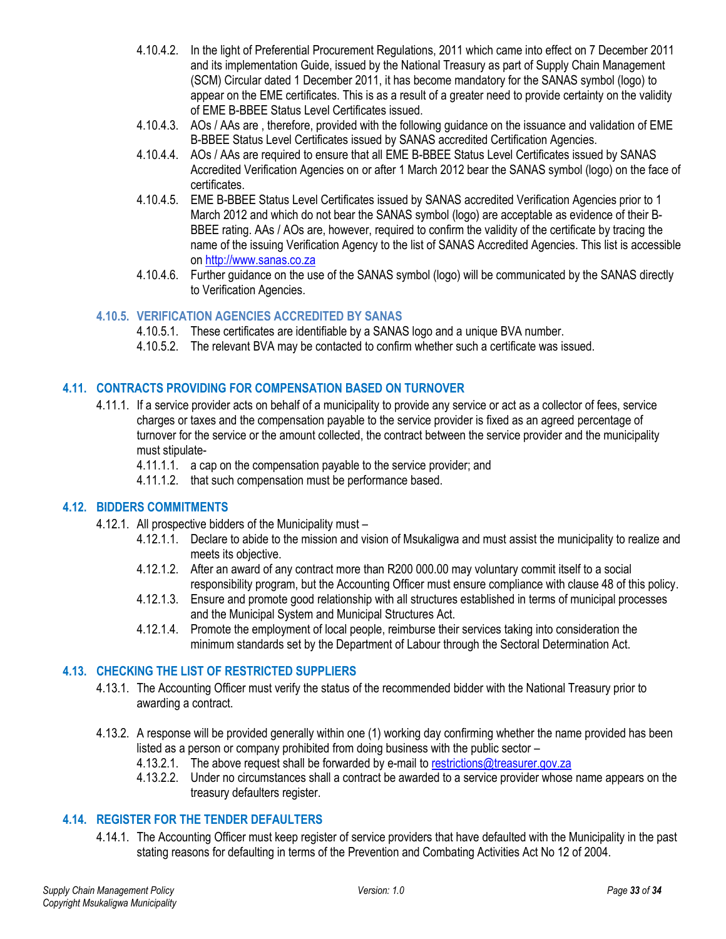- 4.10.4.2. In the light of Preferential Procurement Regulations, 2011 which came into effect on 7 December 2011 and its implementation Guide, issued by the National Treasury as part of Supply Chain Management (SCM) Circular dated 1 December 2011, it has become mandatory for the SANAS symbol (logo) to appear on the EME certificates. This is as a result of a greater need to provide certainty on the validity of EME B-BBEE Status Level Certificates issued.
- 4.10.4.3. AOs / AAs are , therefore, provided with the following guidance on the issuance and validation of EME B-BBEE Status Level Certificates issued by SANAS accredited Certification Agencies.
- 4.10.4.4. AOs / AAs are required to ensure that all EME B-BBEE Status Level Certificates issued by SANAS Accredited Verification Agencies on or after 1 March 2012 bear the SANAS symbol (logo) on the face of certificates.
- 4.10.4.5. EME B-BBEE Status Level Certificates issued by SANAS accredited Verification Agencies prior to 1 March 2012 and which do not bear the SANAS symbol (logo) are acceptable as evidence of their B-BBEE rating. AAs / AOs are, however, required to confirm the validity of the certificate by tracing the name of the issuing Verification Agency to the list of SANAS Accredited Agencies. This list is accessible on [http://www.sanas.co.za](http://www.sanas.co.za/)
- 4.10.4.6. Further guidance on the use of the SANAS symbol (logo) will be communicated by the SANAS directly to Verification Agencies.

# <span id="page-32-0"></span>**4.10.5. VERIFICATION AGENCIES ACCREDITED BY SANAS**

- 4.10.5.1. These certificates are identifiable by a SANAS logo and a unique BVA number.
- 4.10.5.2. The relevant BVA may be contacted to confirm whether such a certificate was issued.

## <span id="page-32-1"></span>**4.11. CONTRACTS PROVIDING FOR COMPENSATION BASED ON TURNOVER**

- 4.11.1. If a service provider acts on behalf of a municipality to provide any service or act as a collector of fees, service charges or taxes and the compensation payable to the service provider is fixed as an agreed percentage of turnover for the service or the amount collected, the contract between the service provider and the municipality must stipulate-
	- 4.11.1.1. a cap on the compensation payable to the service provider; and
	- 4.11.1.2. that such compensation must be performance based.

## <span id="page-32-2"></span>**4.12. BIDDERS COMMITMENTS**

- 4.12.1. All prospective bidders of the Municipality must
	- 4.12.1.1. Declare to abide to the mission and vision of Msukaligwa and must assist the municipality to realize and meets its objective.
	- 4.12.1.2. After an award of any contract more than R200 000.00 may voluntary commit itself to a social responsibility program, but the Accounting Officer must ensure compliance with clause 48 of this policy.
	- 4.12.1.3. Ensure and promote good relationship with all structures established in terms of municipal processes and the Municipal System and Municipal Structures Act.
	- 4.12.1.4. Promote the employment of local people, reimburse their services taking into consideration the minimum standards set by the Department of Labour through the Sectoral Determination Act.

## <span id="page-32-3"></span>**4.13. CHECKING THE LIST OF RESTRICTED SUPPLIERS**

- 4.13.1. The Accounting Officer must verify the status of the recommended bidder with the National Treasury prior to awarding a contract.
- 4.13.2. A response will be provided generally within one (1) working day confirming whether the name provided has been listed as a person or company prohibited from doing business with the public sector –
	- 4.13.2.1. The above request shall be forwarded by e-mail to [restrictions@treasurer.gov.za](mailto:restrictions@treasurer.gov.za)
	- 4.13.2.2. Under no circumstances shall a contract be awarded to a service provider whose name appears on the treasury defaulters register.

# <span id="page-32-4"></span>**4.14. REGISTER FOR THE TENDER DEFAULTERS**

4.14.1. The Accounting Officer must keep register of service providers that have defaulted with the Municipality in the past stating reasons for defaulting in terms of the Prevention and Combating Activities Act No 12 of 2004.